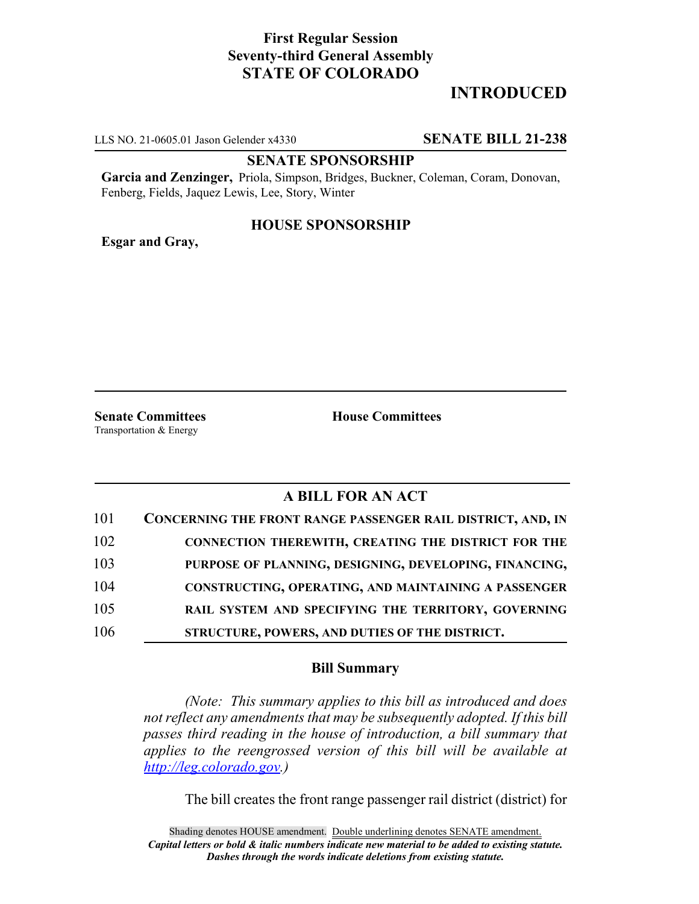## **First Regular Session Seventy-third General Assembly STATE OF COLORADO**

# **INTRODUCED**

LLS NO. 21-0605.01 Jason Gelender x4330 **SENATE BILL 21-238**

#### **SENATE SPONSORSHIP**

**Garcia and Zenzinger,** Priola, Simpson, Bridges, Buckner, Coleman, Coram, Donovan, Fenberg, Fields, Jaquez Lewis, Lee, Story, Winter

### **HOUSE SPONSORSHIP**

**Esgar and Gray,**

**Senate Committees House Committees** Transportation & Energy

## **A BILL FOR AN ACT**

| 101 | CONCERNING THE FRONT RANGE PASSENGER RAIL DISTRICT, AND, IN |
|-----|-------------------------------------------------------------|
| 102 | <b>CONNECTION THEREWITH, CREATING THE DISTRICT FOR THE</b>  |
| 103 | PURPOSE OF PLANNING, DESIGNING, DEVELOPING, FINANCING,      |
| 104 | <b>CONSTRUCTING, OPERATING, AND MAINTAINING A PASSENGER</b> |
| 105 | RAIL SYSTEM AND SPECIFYING THE TERRITORY, GOVERNING         |
| 106 | STRUCTURE, POWERS, AND DUTIES OF THE DISTRICT.              |

#### **Bill Summary**

*(Note: This summary applies to this bill as introduced and does not reflect any amendments that may be subsequently adopted. If this bill passes third reading in the house of introduction, a bill summary that applies to the reengrossed version of this bill will be available at http://leg.colorado.gov.)*

The bill creates the front range passenger rail district (district) for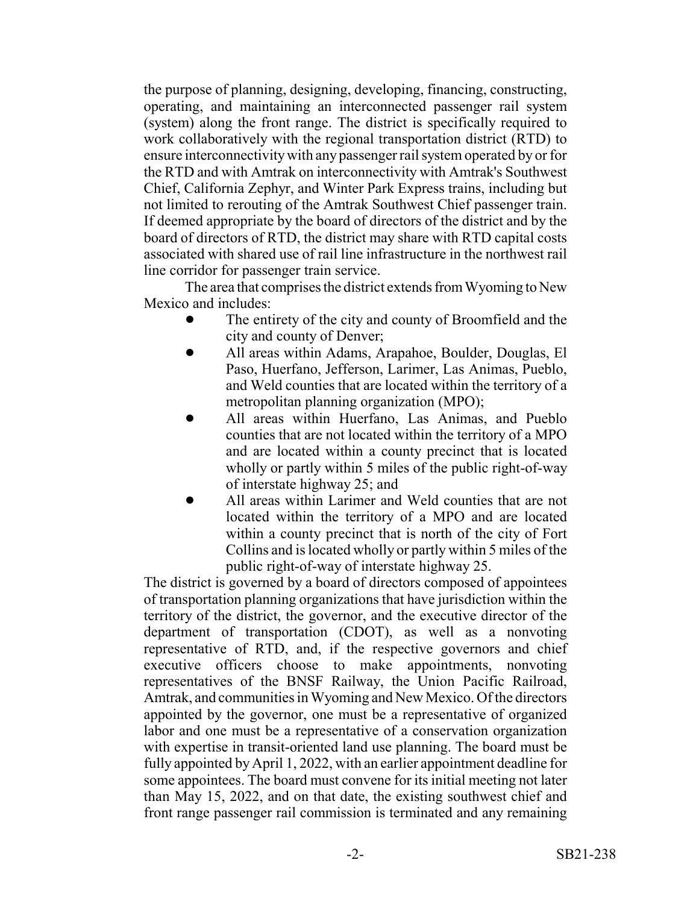the purpose of planning, designing, developing, financing, constructing, operating, and maintaining an interconnected passenger rail system (system) along the front range. The district is specifically required to work collaboratively with the regional transportation district (RTD) to ensure interconnectivity with any passenger rail system operated by or for the RTD and with Amtrak on interconnectivity with Amtrak's Southwest Chief, California Zephyr, and Winter Park Express trains, including but not limited to rerouting of the Amtrak Southwest Chief passenger train. If deemed appropriate by the board of directors of the district and by the board of directors of RTD, the district may share with RTD capital costs associated with shared use of rail line infrastructure in the northwest rail line corridor for passenger train service.

The area that comprises the district extends from Wyoming to New Mexico and includes:

- The entirety of the city and county of Broomfield and the city and county of Denver;
- ! All areas within Adams, Arapahoe, Boulder, Douglas, El Paso, Huerfano, Jefferson, Larimer, Las Animas, Pueblo, and Weld counties that are located within the territory of a metropolitan planning organization (MPO);
- ! All areas within Huerfano, Las Animas, and Pueblo counties that are not located within the territory of a MPO and are located within a county precinct that is located wholly or partly within 5 miles of the public right-of-way of interstate highway 25; and
- All areas within Larimer and Weld counties that are not located within the territory of a MPO and are located within a county precinct that is north of the city of Fort Collins and is located wholly or partly within 5 miles of the public right-of-way of interstate highway 25.

The district is governed by a board of directors composed of appointees of transportation planning organizations that have jurisdiction within the territory of the district, the governor, and the executive director of the department of transportation (CDOT), as well as a nonvoting representative of RTD, and, if the respective governors and chief executive officers choose to make appointments, nonvoting representatives of the BNSF Railway, the Union Pacific Railroad, Amtrak, and communities in Wyoming and New Mexico. Of the directors appointed by the governor, one must be a representative of organized labor and one must be a representative of a conservation organization with expertise in transit-oriented land use planning. The board must be fully appointed by April 1, 2022, with an earlier appointment deadline for some appointees. The board must convene for its initial meeting not later than May 15, 2022, and on that date, the existing southwest chief and front range passenger rail commission is terminated and any remaining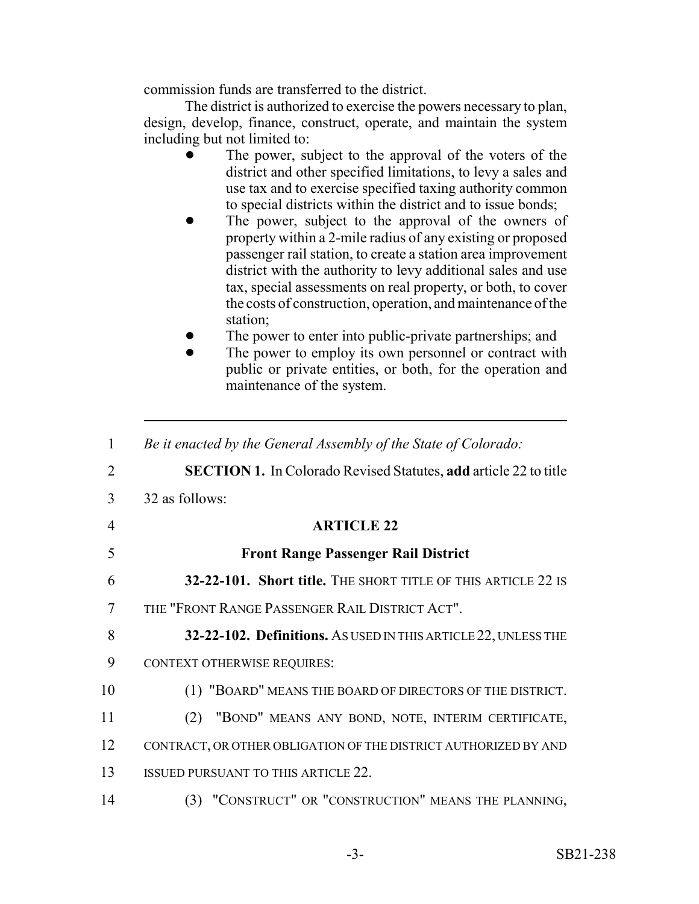commission funds are transferred to the district.

The district is authorized to exercise the powers necessary to plan, design, develop, finance, construct, operate, and maintain the system including but not limited to:

- The power, subject to the approval of the voters of the district and other specified limitations, to levy a sales and use tax and to exercise specified taxing authority common to special districts within the district and to issue bonds;
- The power, subject to the approval of the owners of property within a 2-mile radius of any existing or proposed passenger rail station, to create a station area improvement district with the authority to levy additional sales and use tax, special assessments on real property, or both, to cover the costs of construction, operation, and maintenance of the station;
- The power to enter into public-private partnerships; and
- The power to employ its own personnel or contract with public or private entities, or both, for the operation and maintenance of the system.

| $\mathbf{1}$ | Be it enacted by the General Assembly of the State of Colorado:         |
|--------------|-------------------------------------------------------------------------|
| 2            | <b>SECTION 1.</b> In Colorado Revised Statutes, add article 22 to title |
| 3            | 32 as follows:                                                          |
| 4            | <b>ARTICLE 22</b>                                                       |
| 5            | <b>Front Range Passenger Rail District</b>                              |
| 6            | 32-22-101. Short title. THE SHORT TITLE OF THIS ARTICLE 22 IS           |
| 7            | THE "FRONT RANGE PASSENGER RAIL DISTRICT ACT".                          |
| 8            | 32-22-102. Definitions. As USED IN THIS ARTICLE 22, UNLESS THE          |
| 9            | CONTEXT OTHERWISE REQUIRES:                                             |
| 10           | (1) "BOARD" MEANS THE BOARD OF DIRECTORS OF THE DISTRICT.               |
| 11           | "BOND" MEANS ANY BOND, NOTE, INTERIM CERTIFICATE,<br>(2)                |
| 12           | CONTRACT, OR OTHER OBLIGATION OF THE DISTRICT AUTHORIZED BY AND         |
| 13           | <b>ISSUED PURSUANT TO THIS ARTICLE 22.</b>                              |
| 14           | (3) "CONSTRUCT" OR "CONSTRUCTION" MEANS THE PLANNING,                   |
|              |                                                                         |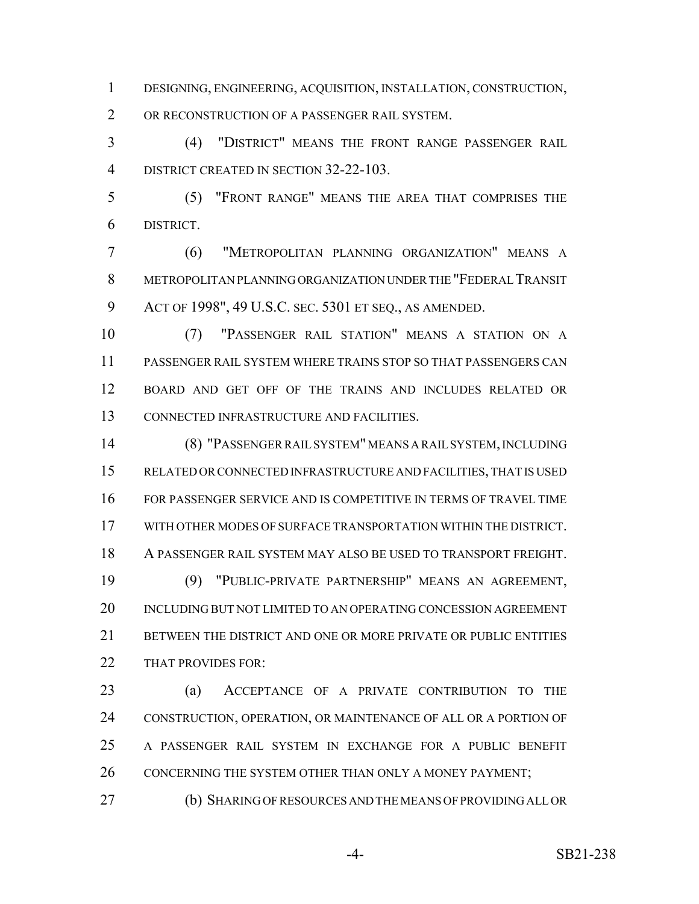DESIGNING, ENGINEERING, ACQUISITION, INSTALLATION, CONSTRUCTION, OR RECONSTRUCTION OF A PASSENGER RAIL SYSTEM.

 (4) "DISTRICT" MEANS THE FRONT RANGE PASSENGER RAIL 4 DISTRICT CREATED IN SECTION 32-22-103.

 (5) "FRONT RANGE" MEANS THE AREA THAT COMPRISES THE DISTRICT.

 (6) "METROPOLITAN PLANNING ORGANIZATION" MEANS A METROPOLITAN PLANNING ORGANIZATION UNDER THE "FEDERAL TRANSIT ACT OF 1998", 49 U.S.C. SEC. 5301 ET SEQ., AS AMENDED.

 (7) "PASSENGER RAIL STATION" MEANS A STATION ON A PASSENGER RAIL SYSTEM WHERE TRAINS STOP SO THAT PASSENGERS CAN BOARD AND GET OFF OF THE TRAINS AND INCLUDES RELATED OR CONNECTED INFRASTRUCTURE AND FACILITIES.

 (8) "PASSENGER RAIL SYSTEM" MEANS A RAIL SYSTEM, INCLUDING RELATED OR CONNECTED INFRASTRUCTURE AND FACILITIES, THAT IS USED FOR PASSENGER SERVICE AND IS COMPETITIVE IN TERMS OF TRAVEL TIME WITH OTHER MODES OF SURFACE TRANSPORTATION WITHIN THE DISTRICT. A PASSENGER RAIL SYSTEM MAY ALSO BE USED TO TRANSPORT FREIGHT. (9) "PUBLIC-PRIVATE PARTNERSHIP" MEANS AN AGREEMENT, INCLUDING BUT NOT LIMITED TO AN OPERATING CONCESSION AGREEMENT 21 BETWEEN THE DISTRICT AND ONE OR MORE PRIVATE OR PUBLIC ENTITIES 22 THAT PROVIDES FOR:

 (a) ACCEPTANCE OF A PRIVATE CONTRIBUTION TO THE CONSTRUCTION, OPERATION, OR MAINTENANCE OF ALL OR A PORTION OF A PASSENGER RAIL SYSTEM IN EXCHANGE FOR A PUBLIC BENEFIT 26 CONCERNING THE SYSTEM OTHER THAN ONLY A MONEY PAYMENT;

(b) SHARING OF RESOURCES AND THE MEANS OF PROVIDING ALL OR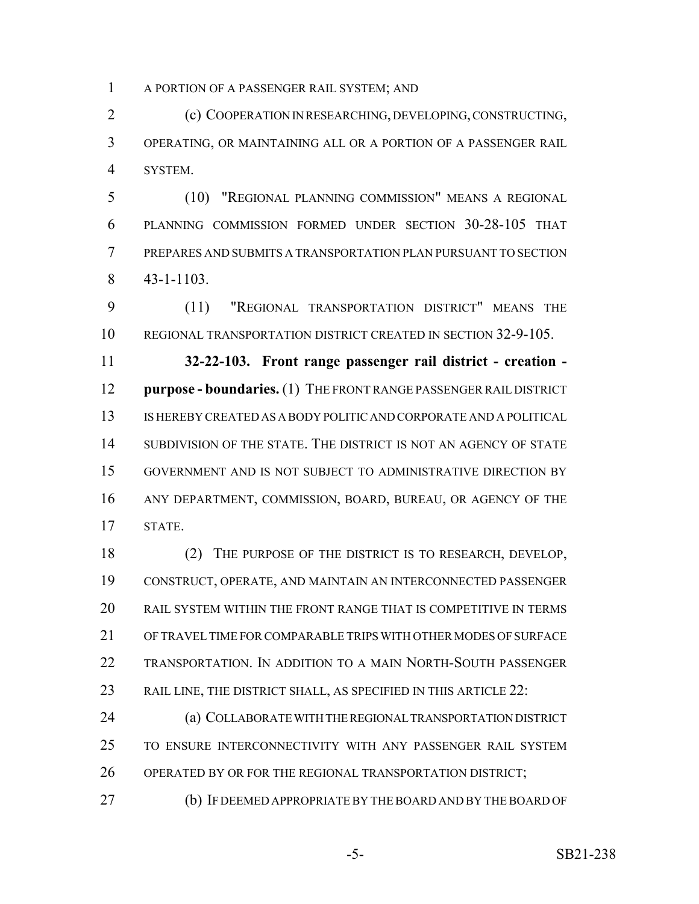A PORTION OF A PASSENGER RAIL SYSTEM; AND

 (c) COOPERATION IN RESEARCHING, DEVELOPING, CONSTRUCTING, OPERATING, OR MAINTAINING ALL OR A PORTION OF A PASSENGER RAIL SYSTEM.

 (10) "REGIONAL PLANNING COMMISSION" MEANS A REGIONAL PLANNING COMMISSION FORMED UNDER SECTION 30-28-105 THAT PREPARES AND SUBMITS A TRANSPORTATION PLAN PURSUANT TO SECTION 43-1-1103.

 (11) "REGIONAL TRANSPORTATION DISTRICT" MEANS THE REGIONAL TRANSPORTATION DISTRICT CREATED IN SECTION 32-9-105.

 **32-22-103. Front range passenger rail district - creation - purpose - boundaries.** (1) THE FRONT RANGE PASSENGER RAIL DISTRICT IS HEREBY CREATED AS A BODY POLITIC AND CORPORATE AND A POLITICAL SUBDIVISION OF THE STATE. THE DISTRICT IS NOT AN AGENCY OF STATE GOVERNMENT AND IS NOT SUBJECT TO ADMINISTRATIVE DIRECTION BY ANY DEPARTMENT, COMMISSION, BOARD, BUREAU, OR AGENCY OF THE STATE.

 (2) THE PURPOSE OF THE DISTRICT IS TO RESEARCH, DEVELOP, CONSTRUCT, OPERATE, AND MAINTAIN AN INTERCONNECTED PASSENGER RAIL SYSTEM WITHIN THE FRONT RANGE THAT IS COMPETITIVE IN TERMS OF TRAVEL TIME FOR COMPARABLE TRIPS WITH OTHER MODES OF SURFACE TRANSPORTATION. IN ADDITION TO A MAIN NORTH-SOUTH PASSENGER RAIL LINE, THE DISTRICT SHALL, AS SPECIFIED IN THIS ARTICLE 22:

 (a) COLLABORATE WITH THE REGIONAL TRANSPORTATION DISTRICT TO ENSURE INTERCONNECTIVITY WITH ANY PASSENGER RAIL SYSTEM 26 OPERATED BY OR FOR THE REGIONAL TRANSPORTATION DISTRICT;

(b) IF DEEMED APPROPRIATE BY THE BOARD AND BY THE BOARD OF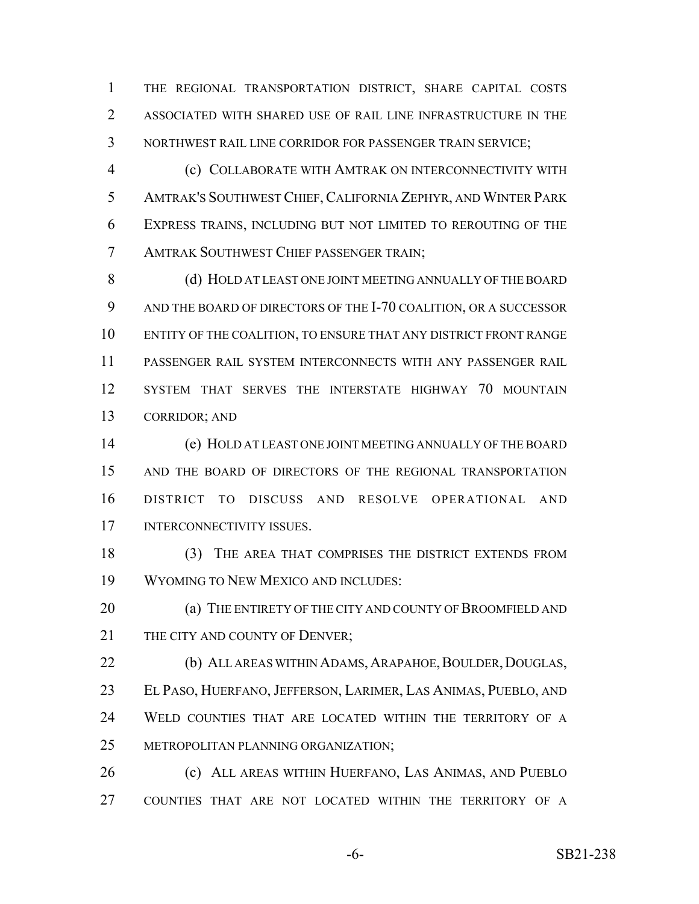THE REGIONAL TRANSPORTATION DISTRICT, SHARE CAPITAL COSTS ASSOCIATED WITH SHARED USE OF RAIL LINE INFRASTRUCTURE IN THE NORTHWEST RAIL LINE CORRIDOR FOR PASSENGER TRAIN SERVICE;

 (c) COLLABORATE WITH AMTRAK ON INTERCONNECTIVITY WITH AMTRAK'S SOUTHWEST CHIEF,CALIFORNIA ZEPHYR, AND WINTER PARK EXPRESS TRAINS, INCLUDING BUT NOT LIMITED TO REROUTING OF THE AMTRAK SOUTHWEST CHIEF PASSENGER TRAIN;

 (d) HOLD AT LEAST ONE JOINT MEETING ANNUALLY OF THE BOARD AND THE BOARD OF DIRECTORS OF THE I-70 COALITION, OR A SUCCESSOR ENTITY OF THE COALITION, TO ENSURE THAT ANY DISTRICT FRONT RANGE PASSENGER RAIL SYSTEM INTERCONNECTS WITH ANY PASSENGER RAIL SYSTEM THAT SERVES THE INTERSTATE HIGHWAY 70 MOUNTAIN CORRIDOR; AND

 (e) HOLD AT LEAST ONE JOINT MEETING ANNUALLY OF THE BOARD AND THE BOARD OF DIRECTORS OF THE REGIONAL TRANSPORTATION DISTRICT TO DISCUSS AND RESOLVE OPERATIONAL AND INTERCONNECTIVITY ISSUES.

18 (3) THE AREA THAT COMPRISES THE DISTRICT EXTENDS FROM WYOMING TO NEW MEXICO AND INCLUDES:

**(a) THE ENTIRETY OF THE CITY AND COUNTY OF BROOMFIELD AND** 21 THE CITY AND COUNTY OF DENVER:

22 (b) ALL AREAS WITHIN ADAMS, ARAPAHOE, BOULDER, DOUGLAS, 23 EL PASO, HUERFANO, JEFFERSON, LARIMER, LAS ANIMAS, PUEBLO, AND WELD COUNTIES THAT ARE LOCATED WITHIN THE TERRITORY OF A METROPOLITAN PLANNING ORGANIZATION;

 (c) ALL AREAS WITHIN HUERFANO, LAS ANIMAS, AND PUEBLO COUNTIES THAT ARE NOT LOCATED WITHIN THE TERRITORY OF A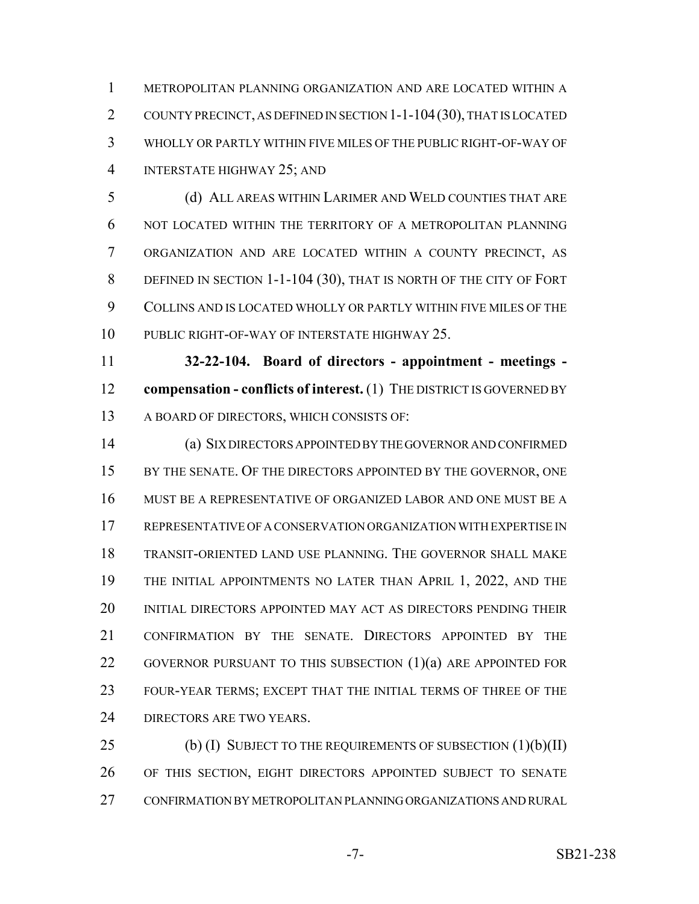METROPOLITAN PLANNING ORGANIZATION AND ARE LOCATED WITHIN A COUNTY PRECINCT, AS DEFINED IN SECTION 1-1-104(30), THAT IS LOCATED WHOLLY OR PARTLY WITHIN FIVE MILES OF THE PUBLIC RIGHT-OF-WAY OF INTERSTATE HIGHWAY 25; AND

 (d) ALL AREAS WITHIN LARIMER AND WELD COUNTIES THAT ARE NOT LOCATED WITHIN THE TERRITORY OF A METROPOLITAN PLANNING ORGANIZATION AND ARE LOCATED WITHIN A COUNTY PRECINCT, AS 8 DEFINED IN SECTION 1-1-104 (30), THAT IS NORTH OF THE CITY OF FORT COLLINS AND IS LOCATED WHOLLY OR PARTLY WITHIN FIVE MILES OF THE PUBLIC RIGHT-OF-WAY OF INTERSTATE HIGHWAY 25.

 **32-22-104. Board of directors - appointment - meetings - compensation - conflicts of interest.** (1) THE DISTRICT IS GOVERNED BY A BOARD OF DIRECTORS, WHICH CONSISTS OF:

 (a) SIX DIRECTORS APPOINTED BY THE GOVERNOR AND CONFIRMED 15 BY THE SENATE. OF THE DIRECTORS APPOINTED BY THE GOVERNOR, ONE MUST BE A REPRESENTATIVE OF ORGANIZED LABOR AND ONE MUST BE A REPRESENTATIVE OF A CONSERVATION ORGANIZATION WITH EXPERTISE IN TRANSIT-ORIENTED LAND USE PLANNING. THE GOVERNOR SHALL MAKE THE INITIAL APPOINTMENTS NO LATER THAN APRIL 1, 2022, AND THE INITIAL DIRECTORS APPOINTED MAY ACT AS DIRECTORS PENDING THEIR CONFIRMATION BY THE SENATE. DIRECTORS APPOINTED BY THE 22 GOVERNOR PURSUANT TO THIS SUBSECTION (1)(a) ARE APPOINTED FOR FOUR-YEAR TERMS; EXCEPT THAT THE INITIAL TERMS OF THREE OF THE 24 DIRECTORS ARE TWO YEARS.

25 (b) (I) SUBJECT TO THE REQUIREMENTS OF SUBSECTION (1)(b)(II) OF THIS SECTION, EIGHT DIRECTORS APPOINTED SUBJECT TO SENATE CONFIRMATION BY METROPOLITAN PLANNING ORGANIZATIONS AND RURAL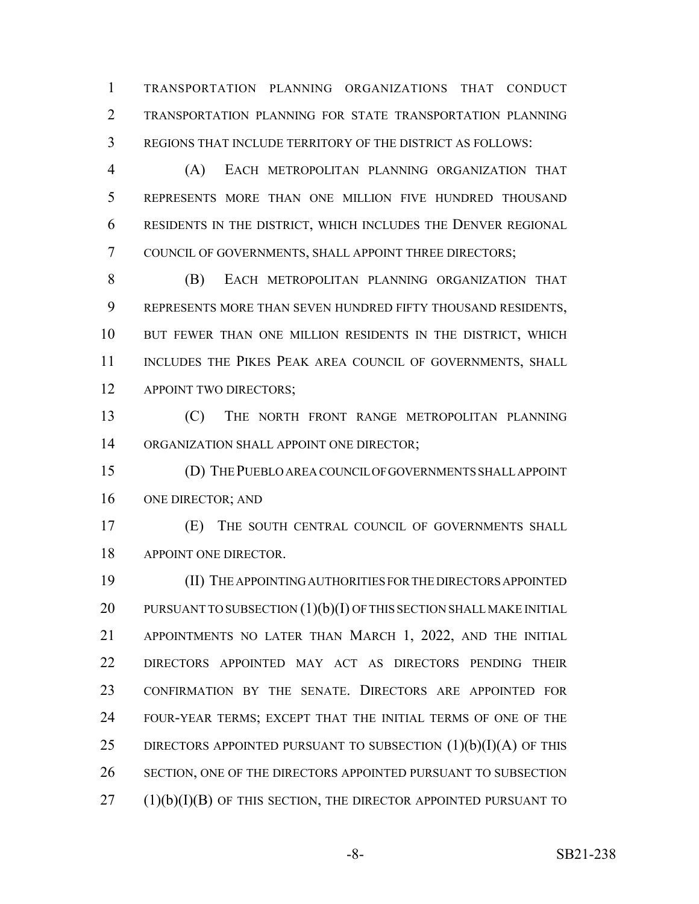TRANSPORTATION PLANNING ORGANIZATIONS THAT CONDUCT TRANSPORTATION PLANNING FOR STATE TRANSPORTATION PLANNING REGIONS THAT INCLUDE TERRITORY OF THE DISTRICT AS FOLLOWS:

 (A) EACH METROPOLITAN PLANNING ORGANIZATION THAT REPRESENTS MORE THAN ONE MILLION FIVE HUNDRED THOUSAND RESIDENTS IN THE DISTRICT, WHICH INCLUDES THE DENVER REGIONAL COUNCIL OF GOVERNMENTS, SHALL APPOINT THREE DIRECTORS;

 (B) EACH METROPOLITAN PLANNING ORGANIZATION THAT REPRESENTS MORE THAN SEVEN HUNDRED FIFTY THOUSAND RESIDENTS, BUT FEWER THAN ONE MILLION RESIDENTS IN THE DISTRICT, WHICH 11 INCLUDES THE PIKES PEAK AREA COUNCIL OF GOVERNMENTS, SHALL 12 APPOINT TWO DIRECTORS;

 (C) THE NORTH FRONT RANGE METROPOLITAN PLANNING 14 ORGANIZATION SHALL APPOINT ONE DIRECTOR;

 (D) THE PUEBLO AREA COUNCIL OF GOVERNMENTS SHALL APPOINT ONE DIRECTOR; AND

 (E) THE SOUTH CENTRAL COUNCIL OF GOVERNMENTS SHALL 18 APPOINT ONE DIRECTOR.

 (II) THE APPOINTING AUTHORITIES FOR THE DIRECTORS APPOINTED 20 PURSUANT TO SUBSECTION  $(1)(b)(I)$  OF THIS SECTION SHALL MAKE INITIAL APPOINTMENTS NO LATER THAN MARCH 1, 2022, AND THE INITIAL DIRECTORS APPOINTED MAY ACT AS DIRECTORS PENDING THEIR CONFIRMATION BY THE SENATE. DIRECTORS ARE APPOINTED FOR FOUR-YEAR TERMS; EXCEPT THAT THE INITIAL TERMS OF ONE OF THE 25 DIRECTORS APPOINTED PURSUANT TO SUBSECTION  $(1)(b)(I)(A)$  OF THIS SECTION, ONE OF THE DIRECTORS APPOINTED PURSUANT TO SUBSECTION (1)(b)(I)(B) OF THIS SECTION, THE DIRECTOR APPOINTED PURSUANT TO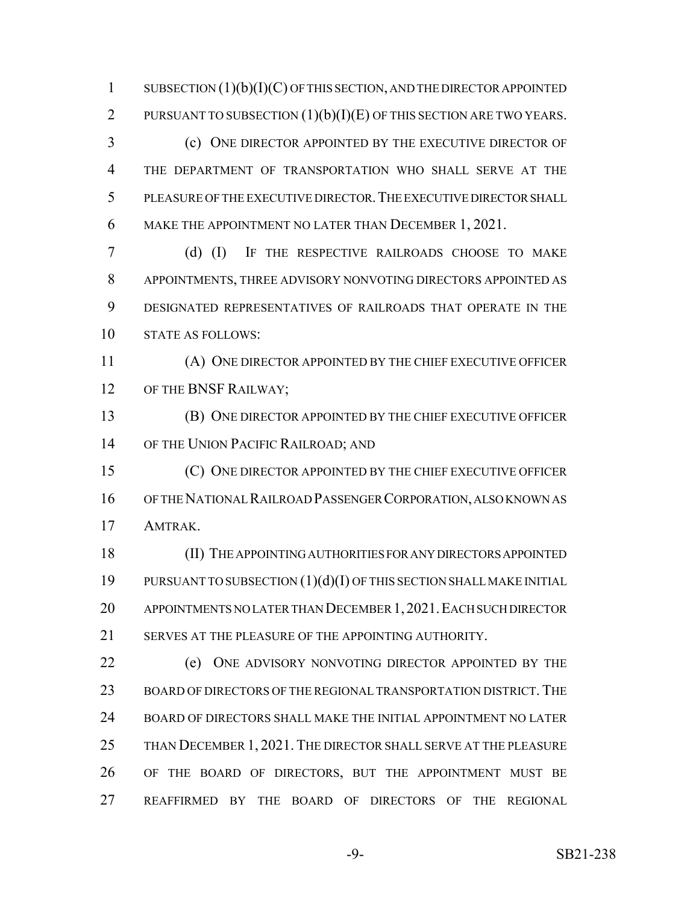1 SUBSECTION  $(1)(b)(I)(C)$  OF THIS SECTION, AND THE DIRECTOR APPOINTED 2 PURSUANT TO SUBSECTION  $(1)(b)(I)(E)$  OF THIS SECTION ARE TWO YEARS.

 (c) ONE DIRECTOR APPOINTED BY THE EXECUTIVE DIRECTOR OF THE DEPARTMENT OF TRANSPORTATION WHO SHALL SERVE AT THE PLEASURE OF THE EXECUTIVE DIRECTOR.THE EXECUTIVE DIRECTOR SHALL MAKE THE APPOINTMENT NO LATER THAN DECEMBER 1, 2021.

 (d) (I) IF THE RESPECTIVE RAILROADS CHOOSE TO MAKE APPOINTMENTS, THREE ADVISORY NONVOTING DIRECTORS APPOINTED AS DESIGNATED REPRESENTATIVES OF RAILROADS THAT OPERATE IN THE STATE AS FOLLOWS:

 (A) ONE DIRECTOR APPOINTED BY THE CHIEF EXECUTIVE OFFICER 12 OF THE BNSF RAILWAY;

 (B) ONE DIRECTOR APPOINTED BY THE CHIEF EXECUTIVE OFFICER OF THE UNION PACIFIC RAILROAD; AND

 (C) ONE DIRECTOR APPOINTED BY THE CHIEF EXECUTIVE OFFICER OF THE NATIONAL RAILROAD PASSENGER CORPORATION, ALSO KNOWN AS AMTRAK.

 (II) THE APPOINTING AUTHORITIES FOR ANY DIRECTORS APPOINTED PURSUANT TO SUBSECTION (1)(d)(I) OF THIS SECTION SHALL MAKE INITIAL APPOINTMENTS NO LATER THAN DECEMBER 1,2021.EACH SUCH DIRECTOR 21 SERVES AT THE PLEASURE OF THE APPOINTING AUTHORITY.

 (e) ONE ADVISORY NONVOTING DIRECTOR APPOINTED BY THE 23 BOARD OF DIRECTORS OF THE REGIONAL TRANSPORTATION DISTRICT. THE BOARD OF DIRECTORS SHALL MAKE THE INITIAL APPOINTMENT NO LATER THAN DECEMBER 1, 2021. THE DIRECTOR SHALL SERVE AT THE PLEASURE OF THE BOARD OF DIRECTORS, BUT THE APPOINTMENT MUST BE REAFFIRMED BY THE BOARD OF DIRECTORS OF THE REGIONAL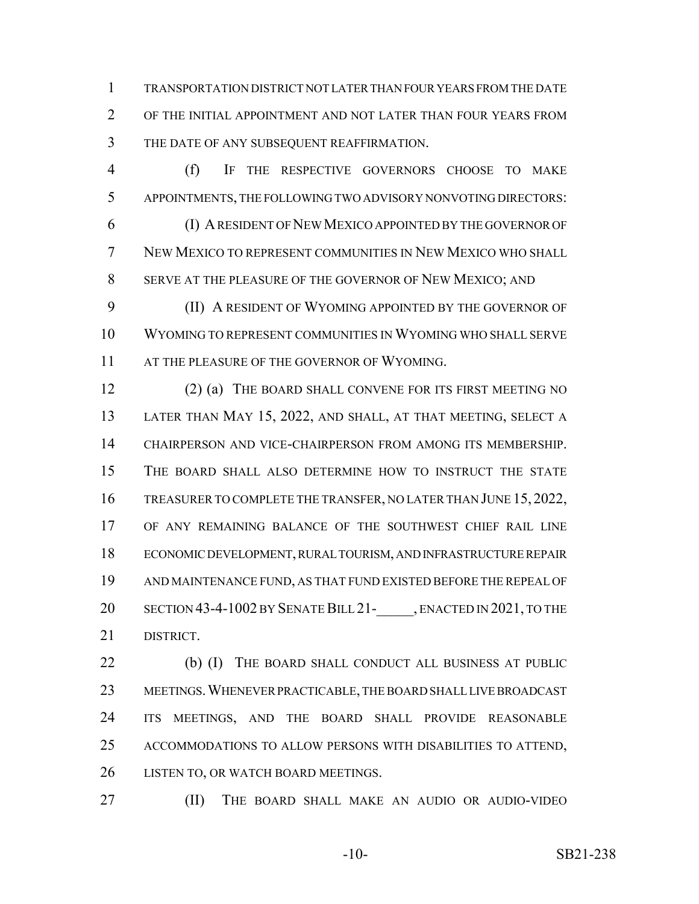TRANSPORTATION DISTRICT NOT LATER THAN FOUR YEARS FROM THE DATE OF THE INITIAL APPOINTMENT AND NOT LATER THAN FOUR YEARS FROM THE DATE OF ANY SUBSEQUENT REAFFIRMATION.

 (f) IF THE RESPECTIVE GOVERNORS CHOOSE TO MAKE APPOINTMENTS, THE FOLLOWING TWO ADVISORY NONVOTING DIRECTORS: (I) A RESIDENT OF NEW MEXICO APPOINTED BY THE GOVERNOR OF NEW MEXICO TO REPRESENT COMMUNITIES IN NEW MEXICO WHO SHALL SERVE AT THE PLEASURE OF THE GOVERNOR OF NEW MEXICO; AND

 (II) A RESIDENT OF WYOMING APPOINTED BY THE GOVERNOR OF WYOMING TO REPRESENT COMMUNITIES IN WYOMING WHO SHALL SERVE 11 AT THE PLEASURE OF THE GOVERNOR OF WYOMING.

 (2) (a) THE BOARD SHALL CONVENE FOR ITS FIRST MEETING NO LATER THAN MAY 15, 2022, AND SHALL, AT THAT MEETING, SELECT A CHAIRPERSON AND VICE-CHAIRPERSON FROM AMONG ITS MEMBERSHIP. THE BOARD SHALL ALSO DETERMINE HOW TO INSTRUCT THE STATE 16 TREASURER TO COMPLETE THE TRANSFER, NO LATER THAN JUNE 15, 2022, OF ANY REMAINING BALANCE OF THE SOUTHWEST CHIEF RAIL LINE ECONOMIC DEVELOPMENT, RURAL TOURISM, AND INFRASTRUCTURE REPAIR AND MAINTENANCE FUND, AS THAT FUND EXISTED BEFORE THE REPEAL OF 20 SECTION 43-4-1002 BY SENATE BILL 21- , ENACTED IN 2021, TO THE DISTRICT.

 (b) (I) THE BOARD SHALL CONDUCT ALL BUSINESS AT PUBLIC MEETINGS.WHENEVER PRACTICABLE, THE BOARD SHALL LIVE BROADCAST ITS MEETINGS, AND THE BOARD SHALL PROVIDE REASONABLE ACCOMMODATIONS TO ALLOW PERSONS WITH DISABILITIES TO ATTEND, 26 LISTEN TO, OR WATCH BOARD MEETINGS.

(II) THE BOARD SHALL MAKE AN AUDIO OR AUDIO-VIDEO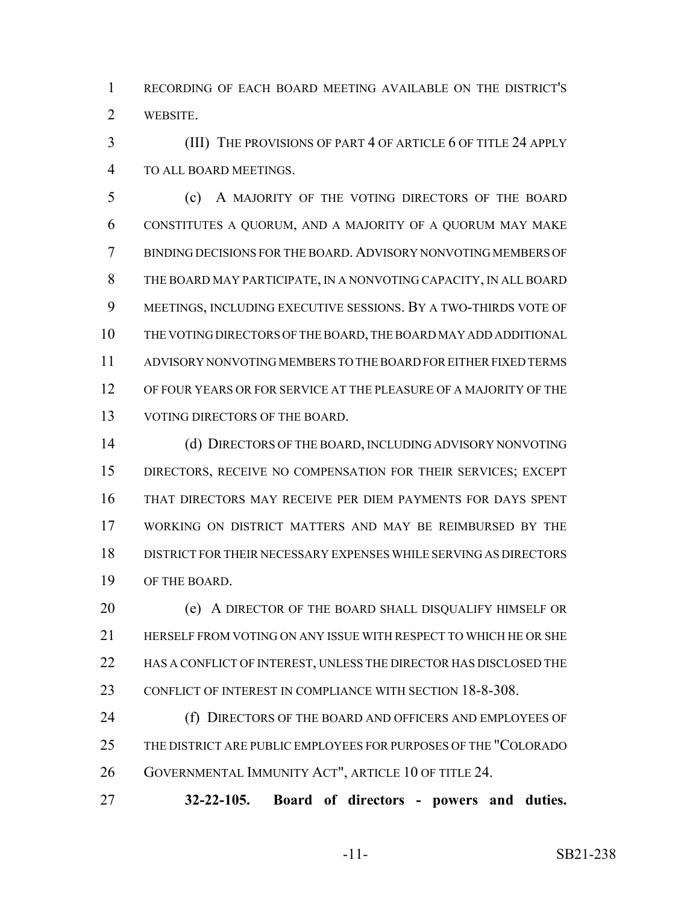RECORDING OF EACH BOARD MEETING AVAILABLE ON THE DISTRICT'S WEBSITE.

 (III) THE PROVISIONS OF PART 4 OF ARTICLE 6 OF TITLE 24 APPLY TO ALL BOARD MEETINGS.

 (c) A MAJORITY OF THE VOTING DIRECTORS OF THE BOARD CONSTITUTES A QUORUM, AND A MAJORITY OF A QUORUM MAY MAKE BINDING DECISIONS FOR THE BOARD.ADVISORY NONVOTING MEMBERS OF THE BOARD MAY PARTICIPATE, IN A NONVOTING CAPACITY, IN ALL BOARD MEETINGS, INCLUDING EXECUTIVE SESSIONS. BY A TWO-THIRDS VOTE OF THE VOTING DIRECTORS OF THE BOARD, THE BOARD MAY ADD ADDITIONAL ADVISORY NONVOTING MEMBERS TO THE BOARD FOR EITHER FIXED TERMS OF FOUR YEARS OR FOR SERVICE AT THE PLEASURE OF A MAJORITY OF THE VOTING DIRECTORS OF THE BOARD.

 (d) DIRECTORS OF THE BOARD, INCLUDING ADVISORY NONVOTING DIRECTORS, RECEIVE NO COMPENSATION FOR THEIR SERVICES; EXCEPT THAT DIRECTORS MAY RECEIVE PER DIEM PAYMENTS FOR DAYS SPENT WORKING ON DISTRICT MATTERS AND MAY BE REIMBURSED BY THE DISTRICT FOR THEIR NECESSARY EXPENSES WHILE SERVING AS DIRECTORS OF THE BOARD.

 (e) A DIRECTOR OF THE BOARD SHALL DISQUALIFY HIMSELF OR HERSELF FROM VOTING ON ANY ISSUE WITH RESPECT TO WHICH HE OR SHE 22 HAS A CONFLICT OF INTEREST, UNLESS THE DIRECTOR HAS DISCLOSED THE 23 CONFLICT OF INTEREST IN COMPLIANCE WITH SECTION 18-8-308.

**(f) DIRECTORS OF THE BOARD AND OFFICERS AND EMPLOYEES OF**  THE DISTRICT ARE PUBLIC EMPLOYEES FOR PURPOSES OF THE "COLORADO GOVERNMENTAL IMMUNITY ACT", ARTICLE 10 OF TITLE 24.

**32-22-105. Board of directors - powers and duties.**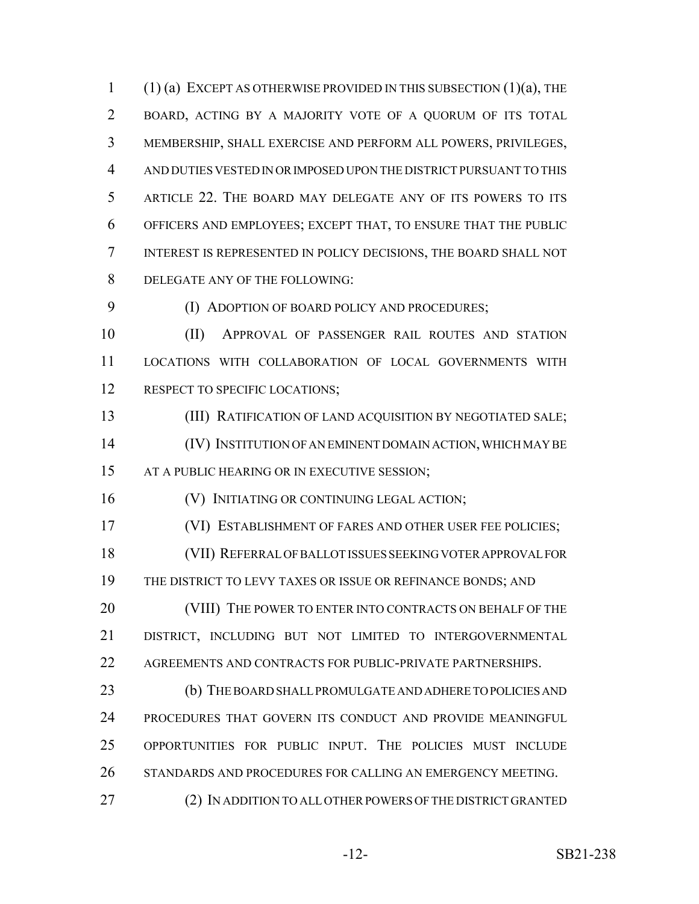(1) (a) EXCEPT AS OTHERWISE PROVIDED IN THIS SUBSECTION (1)(a), THE BOARD, ACTING BY A MAJORITY VOTE OF A QUORUM OF ITS TOTAL MEMBERSHIP, SHALL EXERCISE AND PERFORM ALL POWERS, PRIVILEGES, AND DUTIES VESTED IN OR IMPOSED UPON THE DISTRICT PURSUANT TO THIS ARTICLE 22. THE BOARD MAY DELEGATE ANY OF ITS POWERS TO ITS OFFICERS AND EMPLOYEES; EXCEPT THAT, TO ENSURE THAT THE PUBLIC INTEREST IS REPRESENTED IN POLICY DECISIONS, THE BOARD SHALL NOT DELEGATE ANY OF THE FOLLOWING:

(I) ADOPTION OF BOARD POLICY AND PROCEDURES;

 (II) APPROVAL OF PASSENGER RAIL ROUTES AND STATION LOCATIONS WITH COLLABORATION OF LOCAL GOVERNMENTS WITH 12 RESPECT TO SPECIFIC LOCATIONS;

 (III) RATIFICATION OF LAND ACQUISITION BY NEGOTIATED SALE; (IV) INSTITUTION OF AN EMINENT DOMAIN ACTION, WHICH MAY BE 15 AT A PUBLIC HEARING OR IN EXECUTIVE SESSION;

**(V) INITIATING OR CONTINUING LEGAL ACTION;** 

(VI) ESTABLISHMENT OF FARES AND OTHER USER FEE POLICIES;

 (VII) REFERRAL OF BALLOT ISSUES SEEKING VOTER APPROVAL FOR 19 THE DISTRICT TO LEVY TAXES OR ISSUE OR REFINANCE BONDS; AND

20 (VIII) THE POWER TO ENTER INTO CONTRACTS ON BEHALF OF THE DISTRICT, INCLUDING BUT NOT LIMITED TO INTERGOVERNMENTAL 22 AGREEMENTS AND CONTRACTS FOR PUBLIC-PRIVATE PARTNERSHIPS.

 (b) THE BOARD SHALL PROMULGATE AND ADHERE TO POLICIES AND PROCEDURES THAT GOVERN ITS CONDUCT AND PROVIDE MEANINGFUL OPPORTUNITIES FOR PUBLIC INPUT. THE POLICIES MUST INCLUDE 26 STANDARDS AND PROCEDURES FOR CALLING AN EMERGENCY MEETING.

(2) IN ADDITION TO ALL OTHER POWERS OF THE DISTRICT GRANTED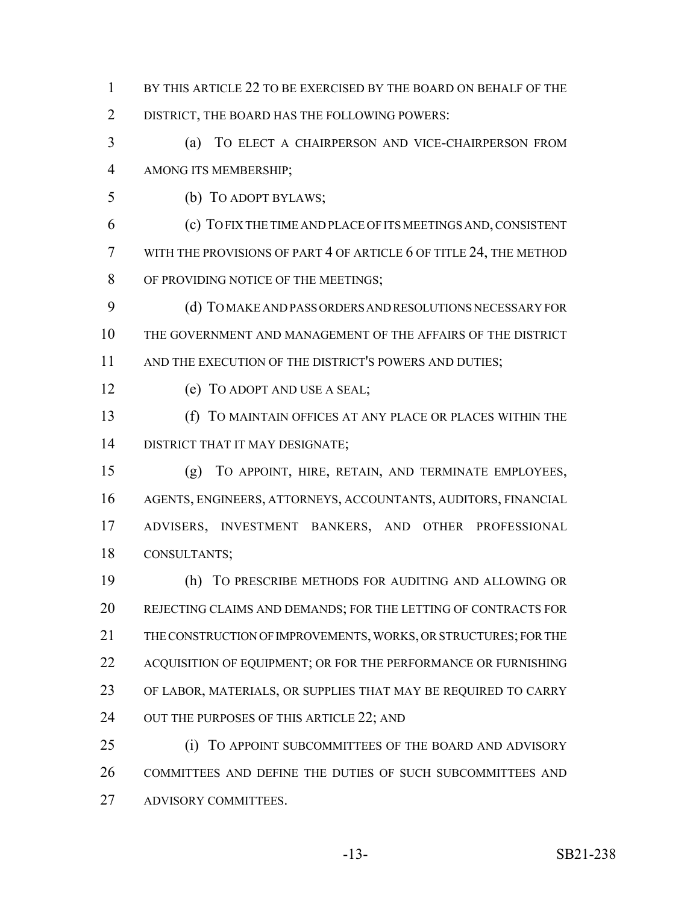- BY THIS ARTICLE 22 TO BE EXERCISED BY THE BOARD ON BEHALF OF THE
- DISTRICT, THE BOARD HAS THE FOLLOWING POWERS:
- (a) TO ELECT A CHAIRPERSON AND VICE-CHAIRPERSON FROM AMONG ITS MEMBERSHIP;
- (b) TO ADOPT BYLAWS;
- (c) TO FIX THE TIME AND PLACE OF ITS MEETINGS AND, CONSISTENT WITH THE PROVISIONS OF PART 4 OF ARTICLE 6 OF TITLE 24, THE METHOD 8 OF PROVIDING NOTICE OF THE MEETINGS;
- (d) TO MAKE AND PASS ORDERS AND RESOLUTIONS NECESSARY FOR THE GOVERNMENT AND MANAGEMENT OF THE AFFAIRS OF THE DISTRICT 11 AND THE EXECUTION OF THE DISTRICT'S POWERS AND DUTIES;
- (e) TO ADOPT AND USE A SEAL;
- (f) TO MAINTAIN OFFICES AT ANY PLACE OR PLACES WITHIN THE DISTRICT THAT IT MAY DESIGNATE;
- (g) TO APPOINT, HIRE, RETAIN, AND TERMINATE EMPLOYEES, AGENTS, ENGINEERS, ATTORNEYS, ACCOUNTANTS, AUDITORS, FINANCIAL ADVISERS, INVESTMENT BANKERS, AND OTHER PROFESSIONAL CONSULTANTS;
- (h) TO PRESCRIBE METHODS FOR AUDITING AND ALLOWING OR REJECTING CLAIMS AND DEMANDS; FOR THE LETTING OF CONTRACTS FOR THE CONSTRUCTION OF IMPROVEMENTS, WORKS, OR STRUCTURES; FOR THE 22 ACQUISITION OF EQUIPMENT; OR FOR THE PERFORMANCE OR FURNISHING OF LABOR, MATERIALS, OR SUPPLIES THAT MAY BE REQUIRED TO CARRY 24 OUT THE PURPOSES OF THIS ARTICLE 22; AND
- **(i) TO APPOINT SUBCOMMITTEES OF THE BOARD AND ADVISORY**  COMMITTEES AND DEFINE THE DUTIES OF SUCH SUBCOMMITTEES AND ADVISORY COMMITTEES.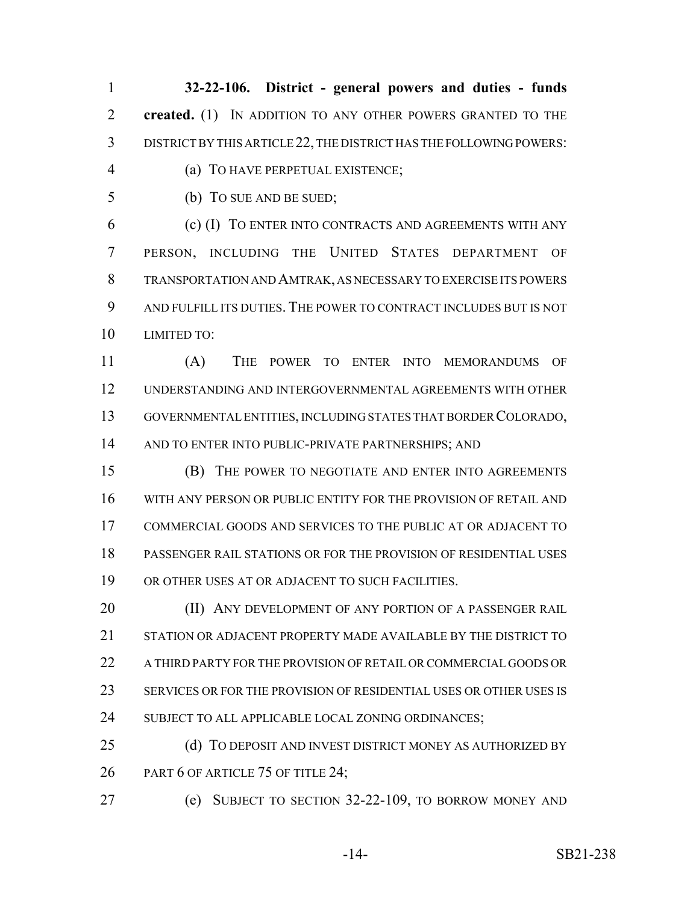**32-22-106. District - general powers and duties - funds created.** (1) IN ADDITION TO ANY OTHER POWERS GRANTED TO THE DISTRICT BY THIS ARTICLE 22, THE DISTRICT HAS THE FOLLOWING POWERS:

- (a) TO HAVE PERPETUAL EXISTENCE;
- (b) TO SUE AND BE SUED;

 (c) (I) TO ENTER INTO CONTRACTS AND AGREEMENTS WITH ANY PERSON, INCLUDING THE UNITED STATES DEPARTMENT OF TRANSPORTATION AND AMTRAK, AS NECESSARY TO EXERCISE ITS POWERS AND FULFILL ITS DUTIES. THE POWER TO CONTRACT INCLUDES BUT IS NOT LIMITED TO:

 (A) THE POWER TO ENTER INTO MEMORANDUMS OF UNDERSTANDING AND INTERGOVERNMENTAL AGREEMENTS WITH OTHER GOVERNMENTAL ENTITIES, INCLUDING STATES THAT BORDER COLORADO, 14 AND TO ENTER INTO PUBLIC-PRIVATE PARTNERSHIPS; AND

 (B) THE POWER TO NEGOTIATE AND ENTER INTO AGREEMENTS WITH ANY PERSON OR PUBLIC ENTITY FOR THE PROVISION OF RETAIL AND COMMERCIAL GOODS AND SERVICES TO THE PUBLIC AT OR ADJACENT TO PASSENGER RAIL STATIONS OR FOR THE PROVISION OF RESIDENTIAL USES OR OTHER USES AT OR ADJACENT TO SUCH FACILITIES.

**(II) ANY DEVELOPMENT OF ANY PORTION OF A PASSENGER RAIL**  STATION OR ADJACENT PROPERTY MADE AVAILABLE BY THE DISTRICT TO A THIRD PARTY FOR THE PROVISION OF RETAIL OR COMMERCIAL GOODS OR SERVICES OR FOR THE PROVISION OF RESIDENTIAL USES OR OTHER USES IS 24 SUBJECT TO ALL APPLICABLE LOCAL ZONING ORDINANCES;

25 (d) TO DEPOSIT AND INVEST DISTRICT MONEY AS AUTHORIZED BY 26 PART 6 OF ARTICLE 75 OF TITLE 24;

(e) SUBJECT TO SECTION 32-22-109, TO BORROW MONEY AND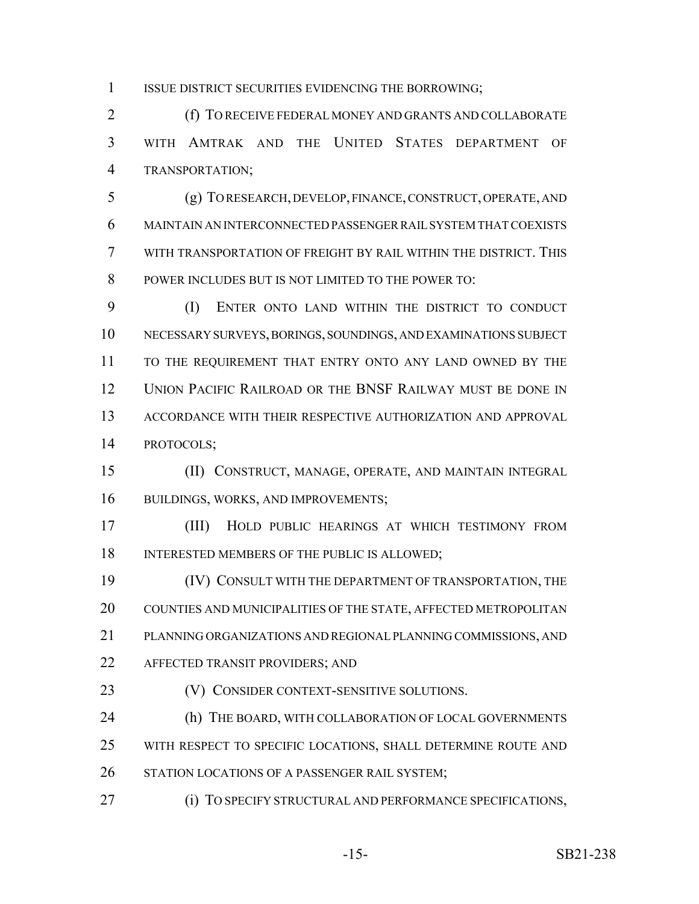ISSUE DISTRICT SECURITIES EVIDENCING THE BORROWING;

 (f) TO RECEIVE FEDERAL MONEY AND GRANTS AND COLLABORATE WITH AMTRAK AND THE UNITED STATES DEPARTMENT OF TRANSPORTATION;

 (g) TO RESEARCH, DEVELOP, FINANCE, CONSTRUCT, OPERATE, AND MAINTAIN AN INTERCONNECTED PASSENGER RAIL SYSTEM THAT COEXISTS WITH TRANSPORTATION OF FREIGHT BY RAIL WITHIN THE DISTRICT. THIS POWER INCLUDES BUT IS NOT LIMITED TO THE POWER TO:

 (I) ENTER ONTO LAND WITHIN THE DISTRICT TO CONDUCT NECESSARY SURVEYS, BORINGS, SOUNDINGS, AND EXAMINATIONS SUBJECT TO THE REQUIREMENT THAT ENTRY ONTO ANY LAND OWNED BY THE UNION PACIFIC RAILROAD OR THE BNSF RAILWAY MUST BE DONE IN ACCORDANCE WITH THEIR RESPECTIVE AUTHORIZATION AND APPROVAL PROTOCOLS;

 (II) CONSTRUCT, MANAGE, OPERATE, AND MAINTAIN INTEGRAL 16 BUILDINGS, WORKS, AND IMPROVEMENTS;

 (III) HOLD PUBLIC HEARINGS AT WHICH TESTIMONY FROM 18 INTERESTED MEMBERS OF THE PUBLIC IS ALLOWED;

 (IV) CONSULT WITH THE DEPARTMENT OF TRANSPORTATION, THE COUNTIES AND MUNICIPALITIES OF THE STATE, AFFECTED METROPOLITAN PLANNING ORGANIZATIONS AND REGIONAL PLANNING COMMISSIONS, AND

AFFECTED TRANSIT PROVIDERS; AND

**(V) CONSIDER CONTEXT-SENSITIVE SOLUTIONS.** 

24 (h) THE BOARD, WITH COLLABORATION OF LOCAL GOVERNMENTS WITH RESPECT TO SPECIFIC LOCATIONS, SHALL DETERMINE ROUTE AND 26 STATION LOCATIONS OF A PASSENGER RAIL SYSTEM;

(i) TO SPECIFY STRUCTURAL AND PERFORMANCE SPECIFICATIONS,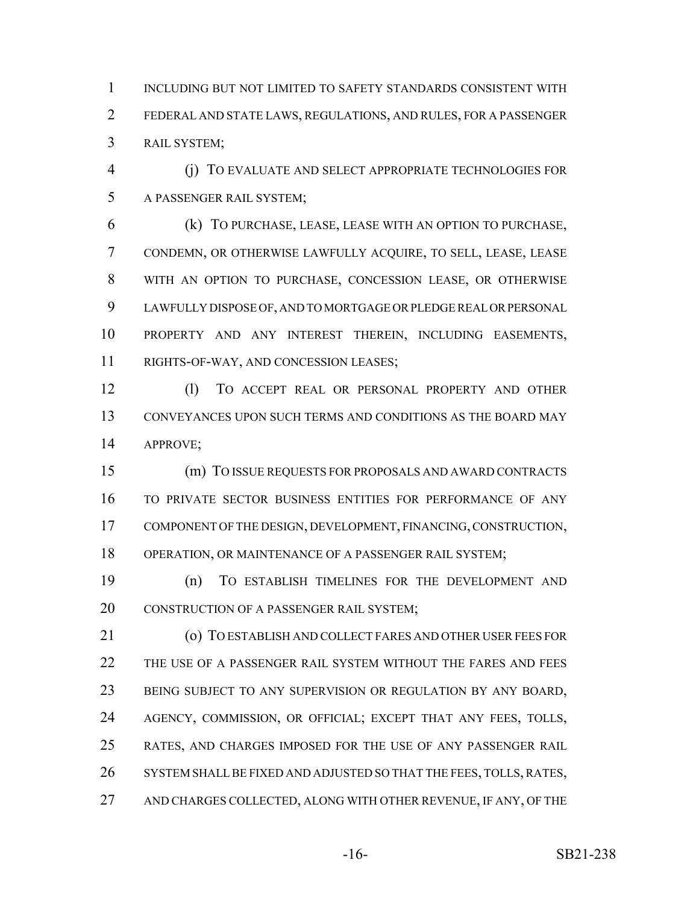INCLUDING BUT NOT LIMITED TO SAFETY STANDARDS CONSISTENT WITH FEDERAL AND STATE LAWS, REGULATIONS, AND RULES, FOR A PASSENGER RAIL SYSTEM;

 (j) TO EVALUATE AND SELECT APPROPRIATE TECHNOLOGIES FOR A PASSENGER RAIL SYSTEM;

 (k) TO PURCHASE, LEASE, LEASE WITH AN OPTION TO PURCHASE, CONDEMN, OR OTHERWISE LAWFULLY ACQUIRE, TO SELL, LEASE, LEASE WITH AN OPTION TO PURCHASE, CONCESSION LEASE, OR OTHERWISE LAWFULLY DISPOSE OF, AND TO MORTGAGE OR PLEDGE REAL OR PERSONAL PROPERTY AND ANY INTEREST THEREIN, INCLUDING EASEMENTS, RIGHTS-OF-WAY, AND CONCESSION LEASES;

 (l) TO ACCEPT REAL OR PERSONAL PROPERTY AND OTHER CONVEYANCES UPON SUCH TERMS AND CONDITIONS AS THE BOARD MAY APPROVE;

 (m) TO ISSUE REQUESTS FOR PROPOSALS AND AWARD CONTRACTS TO PRIVATE SECTOR BUSINESS ENTITIES FOR PERFORMANCE OF ANY COMPONENT OF THE DESIGN, DEVELOPMENT, FINANCING, CONSTRUCTION, OPERATION, OR MAINTENANCE OF A PASSENGER RAIL SYSTEM;

 (n) TO ESTABLISH TIMELINES FOR THE DEVELOPMENT AND 20 CONSTRUCTION OF A PASSENGER RAIL SYSTEM;

 (o) TO ESTABLISH AND COLLECT FARES AND OTHER USER FEES FOR THE USE OF A PASSENGER RAIL SYSTEM WITHOUT THE FARES AND FEES BEING SUBJECT TO ANY SUPERVISION OR REGULATION BY ANY BOARD, AGENCY, COMMISSION, OR OFFICIAL; EXCEPT THAT ANY FEES, TOLLS, RATES, AND CHARGES IMPOSED FOR THE USE OF ANY PASSENGER RAIL 26 SYSTEM SHALL BE FIXED AND ADJUSTED SO THAT THE FEES, TOLLS, RATES, 27 AND CHARGES COLLECTED, ALONG WITH OTHER REVENUE, IF ANY, OF THE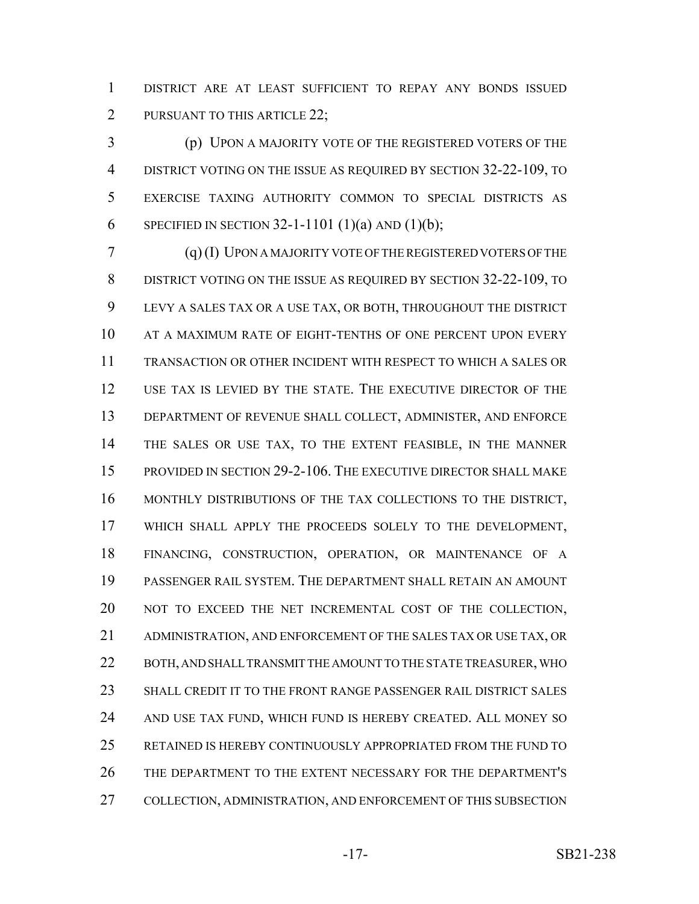DISTRICT ARE AT LEAST SUFFICIENT TO REPAY ANY BONDS ISSUED 2 PURSUANT TO THIS ARTICLE 22;

 (p) UPON A MAJORITY VOTE OF THE REGISTERED VOTERS OF THE 4 DISTRICT VOTING ON THE ISSUE AS REQUIRED BY SECTION 32-22-109, TO EXERCISE TAXING AUTHORITY COMMON TO SPECIAL DISTRICTS AS 6 SPECIFIED IN SECTION 32-1-1101 (1)(a) AND (1)(b);

 (q) (I) UPON A MAJORITY VOTE OF THE REGISTERED VOTERS OF THE DISTRICT VOTING ON THE ISSUE AS REQUIRED BY SECTION 32-22-109, TO LEVY A SALES TAX OR A USE TAX, OR BOTH, THROUGHOUT THE DISTRICT AT A MAXIMUM RATE OF EIGHT-TENTHS OF ONE PERCENT UPON EVERY TRANSACTION OR OTHER INCIDENT WITH RESPECT TO WHICH A SALES OR USE TAX IS LEVIED BY THE STATE. THE EXECUTIVE DIRECTOR OF THE DEPARTMENT OF REVENUE SHALL COLLECT, ADMINISTER, AND ENFORCE THE SALES OR USE TAX, TO THE EXTENT FEASIBLE, IN THE MANNER PROVIDED IN SECTION 29-2-106. THE EXECUTIVE DIRECTOR SHALL MAKE MONTHLY DISTRIBUTIONS OF THE TAX COLLECTIONS TO THE DISTRICT, WHICH SHALL APPLY THE PROCEEDS SOLELY TO THE DEVELOPMENT, FINANCING, CONSTRUCTION, OPERATION, OR MAINTENANCE OF A PASSENGER RAIL SYSTEM. THE DEPARTMENT SHALL RETAIN AN AMOUNT NOT TO EXCEED THE NET INCREMENTAL COST OF THE COLLECTION, ADMINISTRATION, AND ENFORCEMENT OF THE SALES TAX OR USE TAX, OR BOTH, AND SHALL TRANSMIT THE AMOUNT TO THE STATE TREASURER, WHO SHALL CREDIT IT TO THE FRONT RANGE PASSENGER RAIL DISTRICT SALES AND USE TAX FUND, WHICH FUND IS HEREBY CREATED. ALL MONEY SO RETAINED IS HEREBY CONTINUOUSLY APPROPRIATED FROM THE FUND TO THE DEPARTMENT TO THE EXTENT NECESSARY FOR THE DEPARTMENT'S COLLECTION, ADMINISTRATION, AND ENFORCEMENT OF THIS SUBSECTION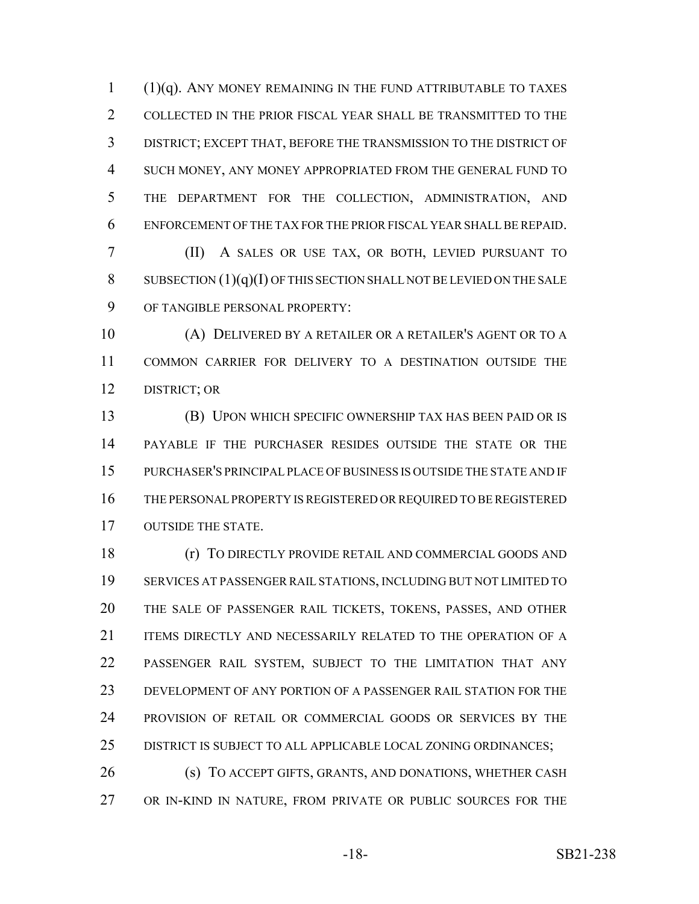(1)(q). ANY MONEY REMAINING IN THE FUND ATTRIBUTABLE TO TAXES COLLECTED IN THE PRIOR FISCAL YEAR SHALL BE TRANSMITTED TO THE DISTRICT; EXCEPT THAT, BEFORE THE TRANSMISSION TO THE DISTRICT OF SUCH MONEY, ANY MONEY APPROPRIATED FROM THE GENERAL FUND TO THE DEPARTMENT FOR THE COLLECTION, ADMINISTRATION, AND ENFORCEMENT OF THE TAX FOR THE PRIOR FISCAL YEAR SHALL BE REPAID.

 (II) A SALES OR USE TAX, OR BOTH, LEVIED PURSUANT TO SUBSECTION (1)(q)(I) OF THIS SECTION SHALL NOT BE LEVIED ON THE SALE OF TANGIBLE PERSONAL PROPERTY:

 (A) DELIVERED BY A RETAILER OR A RETAILER'S AGENT OR TO A COMMON CARRIER FOR DELIVERY TO A DESTINATION OUTSIDE THE DISTRICT; OR

 (B) UPON WHICH SPECIFIC OWNERSHIP TAX HAS BEEN PAID OR IS PAYABLE IF THE PURCHASER RESIDES OUTSIDE THE STATE OR THE PURCHASER'S PRINCIPAL PLACE OF BUSINESS IS OUTSIDE THE STATE AND IF THE PERSONAL PROPERTY IS REGISTERED OR REQUIRED TO BE REGISTERED OUTSIDE THE STATE.

 (r) TO DIRECTLY PROVIDE RETAIL AND COMMERCIAL GOODS AND SERVICES AT PASSENGER RAIL STATIONS, INCLUDING BUT NOT LIMITED TO THE SALE OF PASSENGER RAIL TICKETS, TOKENS, PASSES, AND OTHER ITEMS DIRECTLY AND NECESSARILY RELATED TO THE OPERATION OF A PASSENGER RAIL SYSTEM, SUBJECT TO THE LIMITATION THAT ANY DEVELOPMENT OF ANY PORTION OF A PASSENGER RAIL STATION FOR THE PROVISION OF RETAIL OR COMMERCIAL GOODS OR SERVICES BY THE DISTRICT IS SUBJECT TO ALL APPLICABLE LOCAL ZONING ORDINANCES;

 (s) TO ACCEPT GIFTS, GRANTS, AND DONATIONS, WHETHER CASH OR IN-KIND IN NATURE, FROM PRIVATE OR PUBLIC SOURCES FOR THE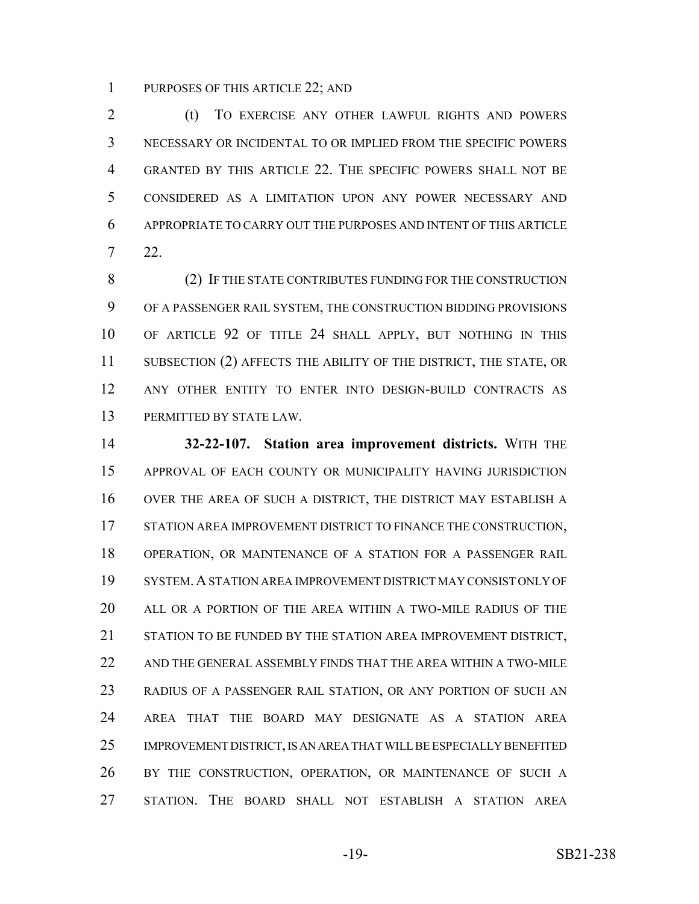PURPOSES OF THIS ARTICLE 22; AND

2 (t) TO EXERCISE ANY OTHER LAWFUL RIGHTS AND POWERS NECESSARY OR INCIDENTAL TO OR IMPLIED FROM THE SPECIFIC POWERS GRANTED BY THIS ARTICLE 22. THE SPECIFIC POWERS SHALL NOT BE CONSIDERED AS A LIMITATION UPON ANY POWER NECESSARY AND APPROPRIATE TO CARRY OUT THE PURPOSES AND INTENT OF THIS ARTICLE 22.

 (2) IF THE STATE CONTRIBUTES FUNDING FOR THE CONSTRUCTION OF A PASSENGER RAIL SYSTEM, THE CONSTRUCTION BIDDING PROVISIONS OF ARTICLE 92 OF TITLE 24 SHALL APPLY, BUT NOTHING IN THIS 11 SUBSECTION (2) AFFECTS THE ABILITY OF THE DISTRICT, THE STATE, OR ANY OTHER ENTITY TO ENTER INTO DESIGN-BUILD CONTRACTS AS PERMITTED BY STATE LAW.

 **32-22-107. Station area improvement districts.** WITH THE APPROVAL OF EACH COUNTY OR MUNICIPALITY HAVING JURISDICTION OVER THE AREA OF SUCH A DISTRICT, THE DISTRICT MAY ESTABLISH A STATION AREA IMPROVEMENT DISTRICT TO FINANCE THE CONSTRUCTION, OPERATION, OR MAINTENANCE OF A STATION FOR A PASSENGER RAIL SYSTEM.A STATION AREA IMPROVEMENT DISTRICT MAY CONSIST ONLY OF ALL OR A PORTION OF THE AREA WITHIN A TWO-MILE RADIUS OF THE STATION TO BE FUNDED BY THE STATION AREA IMPROVEMENT DISTRICT, AND THE GENERAL ASSEMBLY FINDS THAT THE AREA WITHIN A TWO-MILE RADIUS OF A PASSENGER RAIL STATION, OR ANY PORTION OF SUCH AN AREA THAT THE BOARD MAY DESIGNATE AS A STATION AREA IMPROVEMENT DISTRICT, IS AN AREA THAT WILL BE ESPECIALLY BENEFITED BY THE CONSTRUCTION, OPERATION, OR MAINTENANCE OF SUCH A STATION. THE BOARD SHALL NOT ESTABLISH A STATION AREA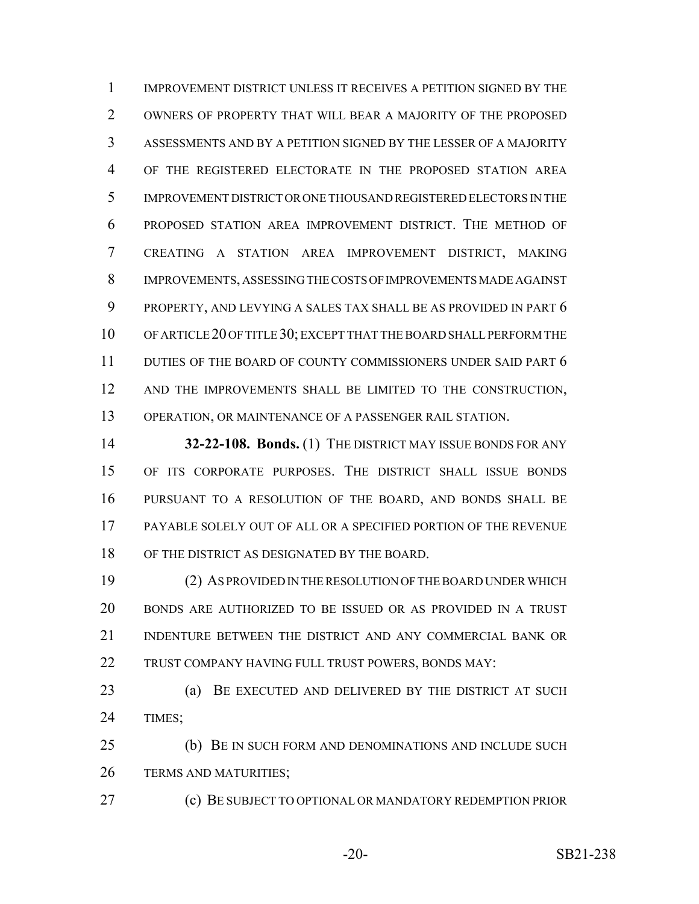IMPROVEMENT DISTRICT UNLESS IT RECEIVES A PETITION SIGNED BY THE OWNERS OF PROPERTY THAT WILL BEAR A MAJORITY OF THE PROPOSED ASSESSMENTS AND BY A PETITION SIGNED BY THE LESSER OF A MAJORITY OF THE REGISTERED ELECTORATE IN THE PROPOSED STATION AREA IMPROVEMENT DISTRICT OR ONE THOUSAND REGISTERED ELECTORS IN THE PROPOSED STATION AREA IMPROVEMENT DISTRICT. THE METHOD OF CREATING A STATION AREA IMPROVEMENT DISTRICT, MAKING IMPROVEMENTS, ASSESSING THE COSTS OF IMPROVEMENTS MADE AGAINST 9 PROPERTY, AND LEVYING A SALES TAX SHALL BE AS PROVIDED IN PART 6 OF ARTICLE 20 OF TITLE 30; EXCEPT THAT THE BOARD SHALL PERFORM THE DUTIES OF THE BOARD OF COUNTY COMMISSIONERS UNDER SAID PART 6 12 AND THE IMPROVEMENTS SHALL BE LIMITED TO THE CONSTRUCTION, OPERATION, OR MAINTENANCE OF A PASSENGER RAIL STATION.

 **32-22-108. Bonds.** (1) THE DISTRICT MAY ISSUE BONDS FOR ANY OF ITS CORPORATE PURPOSES. THE DISTRICT SHALL ISSUE BONDS PURSUANT TO A RESOLUTION OF THE BOARD, AND BONDS SHALL BE PAYABLE SOLELY OUT OF ALL OR A SPECIFIED PORTION OF THE REVENUE OF THE DISTRICT AS DESIGNATED BY THE BOARD.

 (2) AS PROVIDED IN THE RESOLUTION OF THE BOARD UNDER WHICH BONDS ARE AUTHORIZED TO BE ISSUED OR AS PROVIDED IN A TRUST INDENTURE BETWEEN THE DISTRICT AND ANY COMMERCIAL BANK OR 22 TRUST COMPANY HAVING FULL TRUST POWERS, BONDS MAY:

 (a) BE EXECUTED AND DELIVERED BY THE DISTRICT AT SUCH TIMES;

 (b) BE IN SUCH FORM AND DENOMINATIONS AND INCLUDE SUCH TERMS AND MATURITIES;

(c) BE SUBJECT TO OPTIONAL OR MANDATORY REDEMPTION PRIOR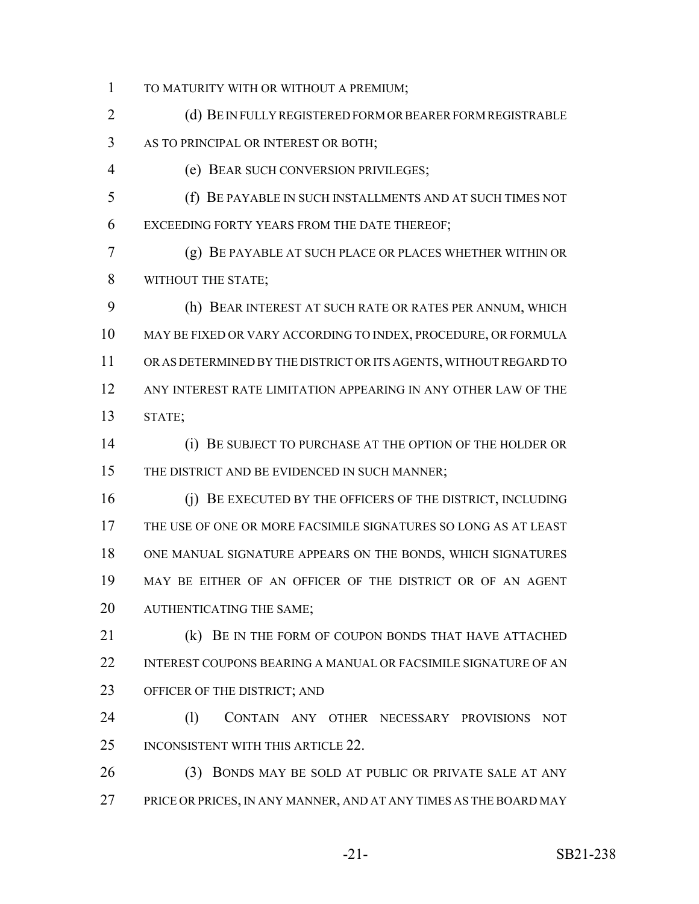TO MATURITY WITH OR WITHOUT A PREMIUM;

2 (d) BE IN FULLY REGISTERED FORM OR BEARER FORM REGISTRABLE AS TO PRINCIPAL OR INTEREST OR BOTH;

(e) BEAR SUCH CONVERSION PRIVILEGES;

 (f) BE PAYABLE IN SUCH INSTALLMENTS AND AT SUCH TIMES NOT EXCEEDING FORTY YEARS FROM THE DATE THEREOF;

 (g) BE PAYABLE AT SUCH PLACE OR PLACES WHETHER WITHIN OR WITHOUT THE STATE;

 (h) BEAR INTEREST AT SUCH RATE OR RATES PER ANNUM, WHICH MAY BE FIXED OR VARY ACCORDING TO INDEX, PROCEDURE, OR FORMULA OR AS DETERMINED BY THE DISTRICT OR ITS AGENTS, WITHOUT REGARD TO ANY INTEREST RATE LIMITATION APPEARING IN ANY OTHER LAW OF THE STATE;

 (i) BE SUBJECT TO PURCHASE AT THE OPTION OF THE HOLDER OR 15 THE DISTRICT AND BE EVIDENCED IN SUCH MANNER;

 (j) BE EXECUTED BY THE OFFICERS OF THE DISTRICT, INCLUDING THE USE OF ONE OR MORE FACSIMILE SIGNATURES SO LONG AS AT LEAST ONE MANUAL SIGNATURE APPEARS ON THE BONDS, WHICH SIGNATURES MAY BE EITHER OF AN OFFICER OF THE DISTRICT OR OF AN AGENT AUTHENTICATING THE SAME;

**(k) BE IN THE FORM OF COUPON BONDS THAT HAVE ATTACHED**  INTEREST COUPONS BEARING A MANUAL OR FACSIMILE SIGNATURE OF AN OFFICER OF THE DISTRICT; AND

24 (1) CONTAIN ANY OTHER NECESSARY PROVISIONS NOT 25 INCONSISTENT WITH THIS ARTICLE 22.

 (3) BONDS MAY BE SOLD AT PUBLIC OR PRIVATE SALE AT ANY PRICE OR PRICES, IN ANY MANNER, AND AT ANY TIMES AS THE BOARD MAY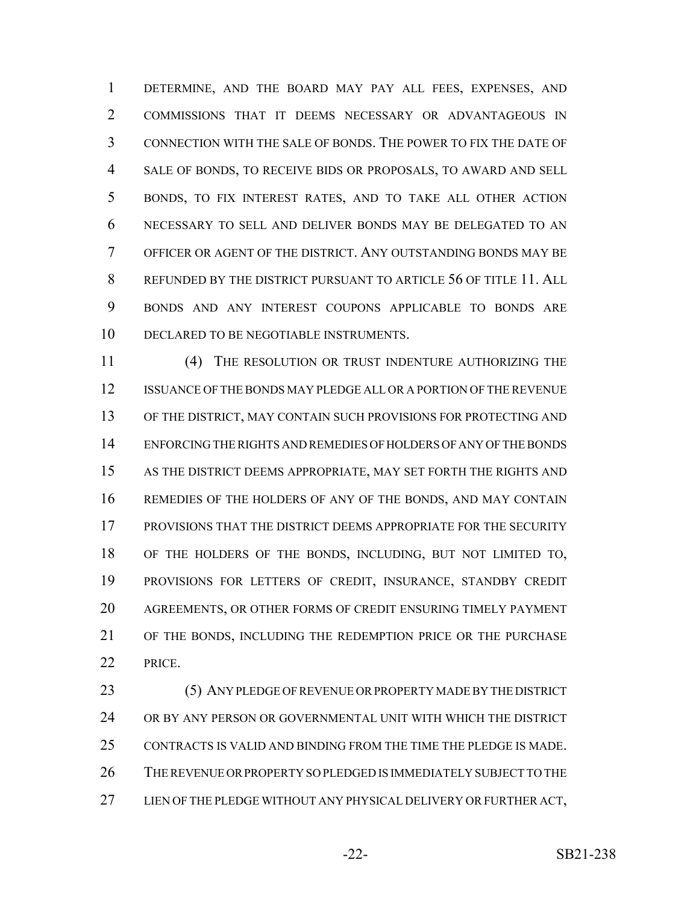DETERMINE, AND THE BOARD MAY PAY ALL FEES, EXPENSES, AND COMMISSIONS THAT IT DEEMS NECESSARY OR ADVANTAGEOUS IN CONNECTION WITH THE SALE OF BONDS. THE POWER TO FIX THE DATE OF SALE OF BONDS, TO RECEIVE BIDS OR PROPOSALS, TO AWARD AND SELL BONDS, TO FIX INTEREST RATES, AND TO TAKE ALL OTHER ACTION NECESSARY TO SELL AND DELIVER BONDS MAY BE DELEGATED TO AN OFFICER OR AGENT OF THE DISTRICT. ANY OUTSTANDING BONDS MAY BE REFUNDED BY THE DISTRICT PURSUANT TO ARTICLE 56 OF TITLE 11. ALL BONDS AND ANY INTEREST COUPONS APPLICABLE TO BONDS ARE DECLARED TO BE NEGOTIABLE INSTRUMENTS.

 (4) THE RESOLUTION OR TRUST INDENTURE AUTHORIZING THE ISSUANCE OF THE BONDS MAY PLEDGE ALL OR A PORTION OF THE REVENUE OF THE DISTRICT, MAY CONTAIN SUCH PROVISIONS FOR PROTECTING AND ENFORCING THE RIGHTS AND REMEDIES OF HOLDERS OF ANY OF THE BONDS AS THE DISTRICT DEEMS APPROPRIATE, MAY SET FORTH THE RIGHTS AND REMEDIES OF THE HOLDERS OF ANY OF THE BONDS, AND MAY CONTAIN PROVISIONS THAT THE DISTRICT DEEMS APPROPRIATE FOR THE SECURITY OF THE HOLDERS OF THE BONDS, INCLUDING, BUT NOT LIMITED TO, PROVISIONS FOR LETTERS OF CREDIT, INSURANCE, STANDBY CREDIT AGREEMENTS, OR OTHER FORMS OF CREDIT ENSURING TIMELY PAYMENT OF THE BONDS, INCLUDING THE REDEMPTION PRICE OR THE PURCHASE PRICE.

 (5) ANY PLEDGE OF REVENUE OR PROPERTY MADE BY THE DISTRICT OR BY ANY PERSON OR GOVERNMENTAL UNIT WITH WHICH THE DISTRICT CONTRACTS IS VALID AND BINDING FROM THE TIME THE PLEDGE IS MADE. THE REVENUE OR PROPERTY SO PLEDGED IS IMMEDIATELY SUBJECT TO THE 27 LIEN OF THE PLEDGE WITHOUT ANY PHYSICAL DELIVERY OR FURTHER ACT,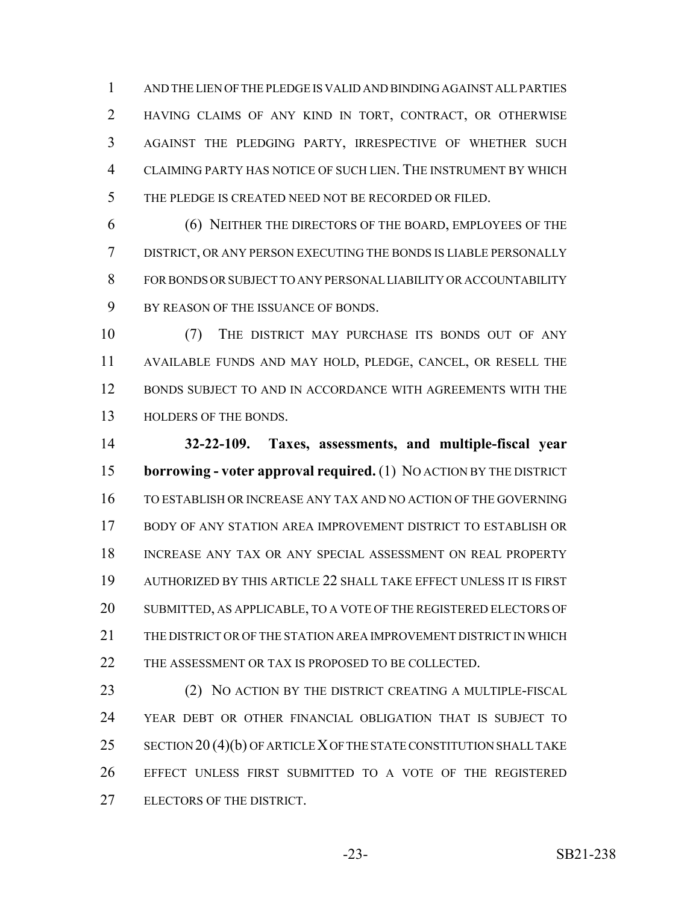AND THE LIEN OF THE PLEDGE IS VALID AND BINDING AGAINST ALL PARTIES HAVING CLAIMS OF ANY KIND IN TORT, CONTRACT, OR OTHERWISE AGAINST THE PLEDGING PARTY, IRRESPECTIVE OF WHETHER SUCH CLAIMING PARTY HAS NOTICE OF SUCH LIEN. THE INSTRUMENT BY WHICH THE PLEDGE IS CREATED NEED NOT BE RECORDED OR FILED.

 (6) NEITHER THE DIRECTORS OF THE BOARD, EMPLOYEES OF THE DISTRICT, OR ANY PERSON EXECUTING THE BONDS IS LIABLE PERSONALLY FOR BONDS OR SUBJECT TO ANY PERSONAL LIABILITY OR ACCOUNTABILITY BY REASON OF THE ISSUANCE OF BONDS.

 (7) THE DISTRICT MAY PURCHASE ITS BONDS OUT OF ANY AVAILABLE FUNDS AND MAY HOLD, PLEDGE, CANCEL, OR RESELL THE BONDS SUBJECT TO AND IN ACCORDANCE WITH AGREEMENTS WITH THE HOLDERS OF THE BONDS.

 **32-22-109. Taxes, assessments, and multiple-fiscal year borrowing - voter approval required.** (1) NO ACTION BY THE DISTRICT TO ESTABLISH OR INCREASE ANY TAX AND NO ACTION OF THE GOVERNING BODY OF ANY STATION AREA IMPROVEMENT DISTRICT TO ESTABLISH OR INCREASE ANY TAX OR ANY SPECIAL ASSESSMENT ON REAL PROPERTY AUTHORIZED BY THIS ARTICLE 22 SHALL TAKE EFFECT UNLESS IT IS FIRST SUBMITTED, AS APPLICABLE, TO A VOTE OF THE REGISTERED ELECTORS OF 21 THE DISTRICT OR OF THE STATION AREA IMPROVEMENT DISTRICT IN WHICH 22 THE ASSESSMENT OR TAX IS PROPOSED TO BE COLLECTED.

23 (2) NO ACTION BY THE DISTRICT CREATING A MULTIPLE-FISCAL YEAR DEBT OR OTHER FINANCIAL OBLIGATION THAT IS SUBJECT TO 25 SECTION 20 (4)(b) OF ARTICLE X OF THE STATE CONSTITUTION SHALL TAKE EFFECT UNLESS FIRST SUBMITTED TO A VOTE OF THE REGISTERED ELECTORS OF THE DISTRICT.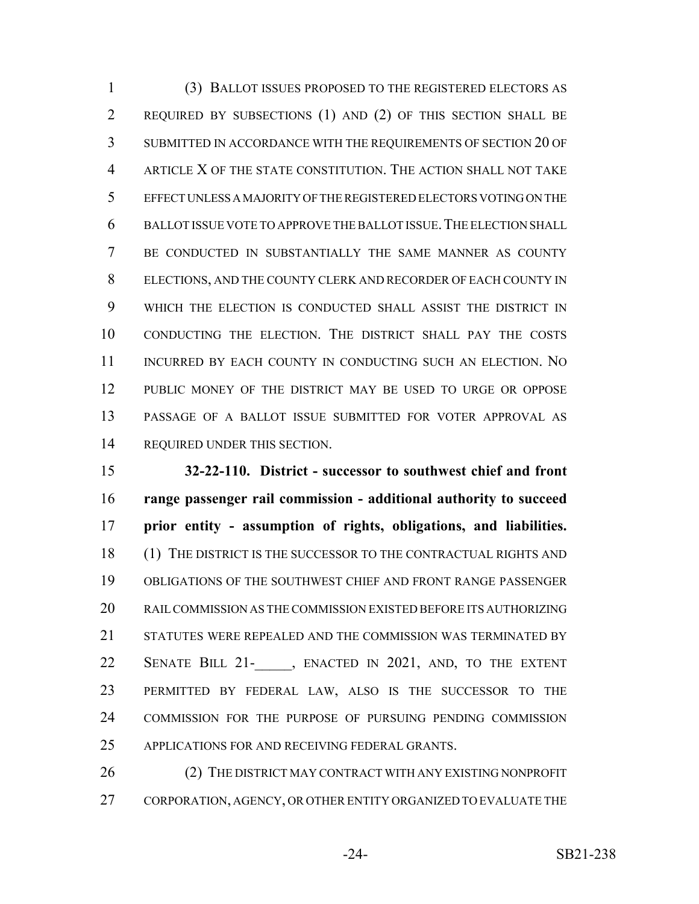(3) BALLOT ISSUES PROPOSED TO THE REGISTERED ELECTORS AS REQUIRED BY SUBSECTIONS (1) AND (2) OF THIS SECTION SHALL BE SUBMITTED IN ACCORDANCE WITH THE REQUIREMENTS OF SECTION 20 OF ARTICLE X OF THE STATE CONSTITUTION. THE ACTION SHALL NOT TAKE EFFECT UNLESS A MAJORITY OF THE REGISTERED ELECTORS VOTING ON THE BALLOT ISSUE VOTE TO APPROVE THE BALLOT ISSUE.THE ELECTION SHALL BE CONDUCTED IN SUBSTANTIALLY THE SAME MANNER AS COUNTY ELECTIONS, AND THE COUNTY CLERK AND RECORDER OF EACH COUNTY IN WHICH THE ELECTION IS CONDUCTED SHALL ASSIST THE DISTRICT IN CONDUCTING THE ELECTION. THE DISTRICT SHALL PAY THE COSTS INCURRED BY EACH COUNTY IN CONDUCTING SUCH AN ELECTION. NO PUBLIC MONEY OF THE DISTRICT MAY BE USED TO URGE OR OPPOSE PASSAGE OF A BALLOT ISSUE SUBMITTED FOR VOTER APPROVAL AS REQUIRED UNDER THIS SECTION.

 **32-22-110. District - successor to southwest chief and front range passenger rail commission - additional authority to succeed prior entity - assumption of rights, obligations, and liabilities.** 18 (1) THE DISTRICT IS THE SUCCESSOR TO THE CONTRACTUAL RIGHTS AND OBLIGATIONS OF THE SOUTHWEST CHIEF AND FRONT RANGE PASSENGER RAIL COMMISSION AS THE COMMISSION EXISTED BEFORE ITS AUTHORIZING 21 STATUTES WERE REPEALED AND THE COMMISSION WAS TERMINATED BY 22 SENATE BILL 21- , ENACTED IN 2021, AND, TO THE EXTENT PERMITTED BY FEDERAL LAW, ALSO IS THE SUCCESSOR TO THE COMMISSION FOR THE PURPOSE OF PURSUING PENDING COMMISSION APPLICATIONS FOR AND RECEIVING FEDERAL GRANTS.

26 (2) THE DISTRICT MAY CONTRACT WITH ANY EXISTING NONPROFIT CORPORATION, AGENCY, OR OTHER ENTITY ORGANIZED TO EVALUATE THE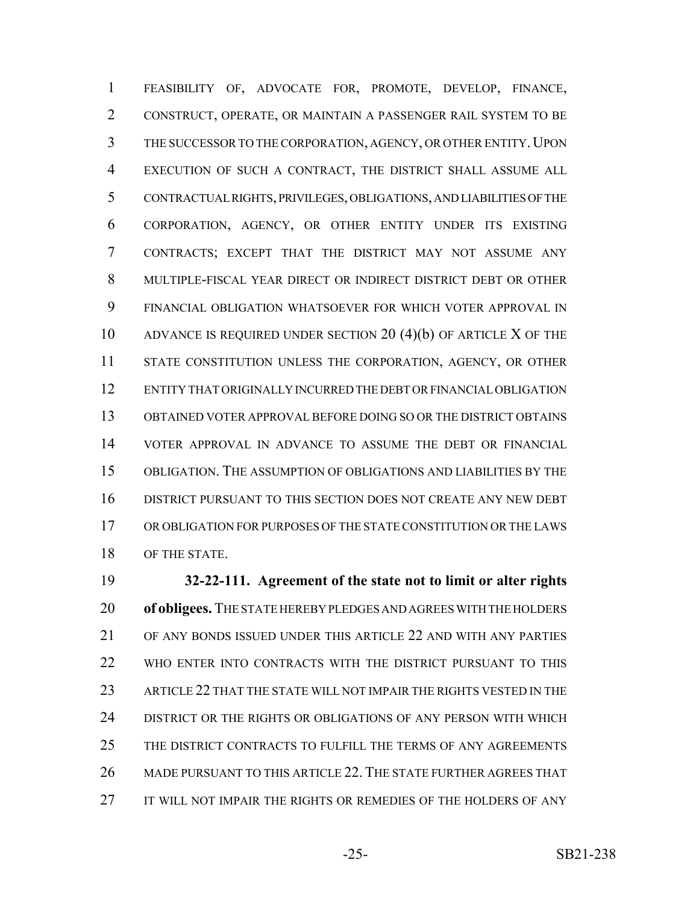FEASIBILITY OF, ADVOCATE FOR, PROMOTE, DEVELOP, FINANCE, CONSTRUCT, OPERATE, OR MAINTAIN A PASSENGER RAIL SYSTEM TO BE 3 THE SUCCESSOR TO THE CORPORATION, AGENCY, OR OTHER ENTITY. UPON EXECUTION OF SUCH A CONTRACT, THE DISTRICT SHALL ASSUME ALL CONTRACTUAL RIGHTS, PRIVILEGES, OBLIGATIONS, AND LIABILITIES OF THE CORPORATION, AGENCY, OR OTHER ENTITY UNDER ITS EXISTING CONTRACTS; EXCEPT THAT THE DISTRICT MAY NOT ASSUME ANY MULTIPLE-FISCAL YEAR DIRECT OR INDIRECT DISTRICT DEBT OR OTHER FINANCIAL OBLIGATION WHATSOEVER FOR WHICH VOTER APPROVAL IN ADVANCE IS REQUIRED UNDER SECTION 20 (4)(b) OF ARTICLE X OF THE STATE CONSTITUTION UNLESS THE CORPORATION, AGENCY, OR OTHER ENTITY THAT ORIGINALLY INCURRED THE DEBT OR FINANCIAL OBLIGATION OBTAINED VOTER APPROVAL BEFORE DOING SO OR THE DISTRICT OBTAINS VOTER APPROVAL IN ADVANCE TO ASSUME THE DEBT OR FINANCIAL OBLIGATION. THE ASSUMPTION OF OBLIGATIONS AND LIABILITIES BY THE DISTRICT PURSUANT TO THIS SECTION DOES NOT CREATE ANY NEW DEBT OR OBLIGATION FOR PURPOSES OF THE STATE CONSTITUTION OR THE LAWS 18 OF THE STATE.

 **32-22-111. Agreement of the state not to limit or alter rights of obligees.** THE STATE HEREBY PLEDGES AND AGREES WITH THE HOLDERS OF ANY BONDS ISSUED UNDER THIS ARTICLE 22 AND WITH ANY PARTIES WHO ENTER INTO CONTRACTS WITH THE DISTRICT PURSUANT TO THIS ARTICLE 22 THAT THE STATE WILL NOT IMPAIR THE RIGHTS VESTED IN THE DISTRICT OR THE RIGHTS OR OBLIGATIONS OF ANY PERSON WITH WHICH THE DISTRICT CONTRACTS TO FULFILL THE TERMS OF ANY AGREEMENTS MADE PURSUANT TO THIS ARTICLE 22. THE STATE FURTHER AGREES THAT IT WILL NOT IMPAIR THE RIGHTS OR REMEDIES OF THE HOLDERS OF ANY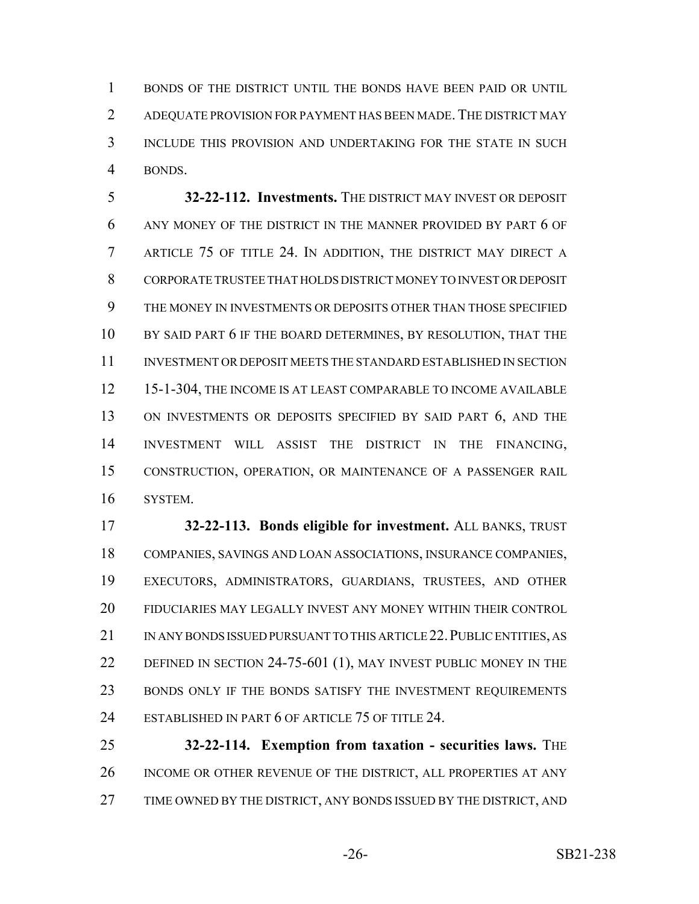BONDS OF THE DISTRICT UNTIL THE BONDS HAVE BEEN PAID OR UNTIL 2 ADEQUATE PROVISION FOR PAYMENT HAS BEEN MADE. THE DISTRICT MAY INCLUDE THIS PROVISION AND UNDERTAKING FOR THE STATE IN SUCH BONDS.

 **32-22-112. Investments.** THE DISTRICT MAY INVEST OR DEPOSIT ANY MONEY OF THE DISTRICT IN THE MANNER PROVIDED BY PART 6 OF ARTICLE 75 OF TITLE 24. IN ADDITION, THE DISTRICT MAY DIRECT A CORPORATE TRUSTEE THAT HOLDS DISTRICT MONEY TO INVEST OR DEPOSIT THE MONEY IN INVESTMENTS OR DEPOSITS OTHER THAN THOSE SPECIFIED BY SAID PART 6 IF THE BOARD DETERMINES, BY RESOLUTION, THAT THE INVESTMENT OR DEPOSIT MEETS THE STANDARD ESTABLISHED IN SECTION 15-1-304, THE INCOME IS AT LEAST COMPARABLE TO INCOME AVAILABLE ON INVESTMENTS OR DEPOSITS SPECIFIED BY SAID PART 6, AND THE INVESTMENT WILL ASSIST THE DISTRICT IN THE FINANCING, CONSTRUCTION, OPERATION, OR MAINTENANCE OF A PASSENGER RAIL SYSTEM.

 **32-22-113. Bonds eligible for investment.** ALL BANKS, TRUST COMPANIES, SAVINGS AND LOAN ASSOCIATIONS, INSURANCE COMPANIES, EXECUTORS, ADMINISTRATORS, GUARDIANS, TRUSTEES, AND OTHER FIDUCIARIES MAY LEGALLY INVEST ANY MONEY WITHIN THEIR CONTROL IN ANY BONDS ISSUED PURSUANT TO THIS ARTICLE 22.PUBLIC ENTITIES, AS 22 DEFINED IN SECTION 24-75-601 (1), MAY INVEST PUBLIC MONEY IN THE 23 BONDS ONLY IF THE BONDS SATISFY THE INVESTMENT REQUIREMENTS ESTABLISHED IN PART 6 OF ARTICLE 75 OF TITLE 24.

 **32-22-114. Exemption from taxation - securities laws.** THE INCOME OR OTHER REVENUE OF THE DISTRICT, ALL PROPERTIES AT ANY 27 TIME OWNED BY THE DISTRICT, ANY BONDS ISSUED BY THE DISTRICT, AND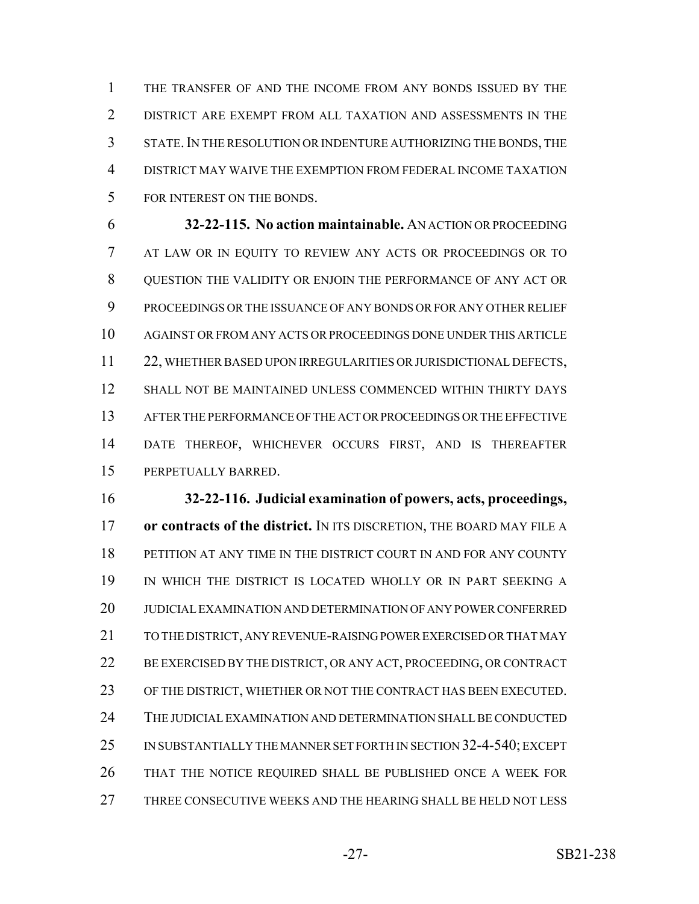THE TRANSFER OF AND THE INCOME FROM ANY BONDS ISSUED BY THE DISTRICT ARE EXEMPT FROM ALL TAXATION AND ASSESSMENTS IN THE STATE.IN THE RESOLUTION OR INDENTURE AUTHORIZING THE BONDS, THE DISTRICT MAY WAIVE THE EXEMPTION FROM FEDERAL INCOME TAXATION FOR INTEREST ON THE BONDS.

 **32-22-115. No action maintainable.** AN ACTION OR PROCEEDING AT LAW OR IN EQUITY TO REVIEW ANY ACTS OR PROCEEDINGS OR TO QUESTION THE VALIDITY OR ENJOIN THE PERFORMANCE OF ANY ACT OR PROCEEDINGS OR THE ISSUANCE OF ANY BONDS OR FOR ANY OTHER RELIEF AGAINST OR FROM ANY ACTS OR PROCEEDINGS DONE UNDER THIS ARTICLE 22, WHETHER BASED UPON IRREGULARITIES OR JURISDICTIONAL DEFECTS, SHALL NOT BE MAINTAINED UNLESS COMMENCED WITHIN THIRTY DAYS AFTER THE PERFORMANCE OF THE ACT OR PROCEEDINGS OR THE EFFECTIVE DATE THEREOF, WHICHEVER OCCURS FIRST, AND IS THEREAFTER PERPETUALLY BARRED.

 **32-22-116. Judicial examination of powers, acts, proceedings, or contracts of the district.** IN ITS DISCRETION, THE BOARD MAY FILE A PETITION AT ANY TIME IN THE DISTRICT COURT IN AND FOR ANY COUNTY IN WHICH THE DISTRICT IS LOCATED WHOLLY OR IN PART SEEKING A JUDICIAL EXAMINATION AND DETERMINATION OF ANY POWER CONFERRED TO THE DISTRICT, ANY REVENUE-RAISING POWER EXERCISED OR THAT MAY 22 BE EXERCISED BY THE DISTRICT, OR ANY ACT, PROCEEDING, OR CONTRACT OF THE DISTRICT, WHETHER OR NOT THE CONTRACT HAS BEEN EXECUTED. THE JUDICIAL EXAMINATION AND DETERMINATION SHALL BE CONDUCTED IN SUBSTANTIALLY THE MANNER SET FORTH IN SECTION 32-4-540; EXCEPT THAT THE NOTICE REQUIRED SHALL BE PUBLISHED ONCE A WEEK FOR THREE CONSECUTIVE WEEKS AND THE HEARING SHALL BE HELD NOT LESS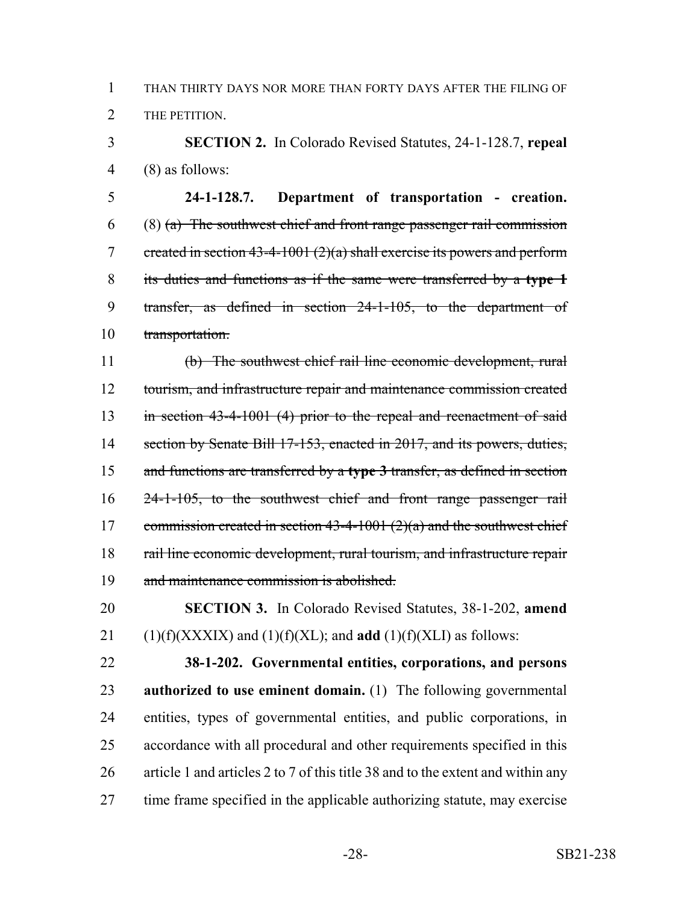THAN THIRTY DAYS NOR MORE THAN FORTY DAYS AFTER THE FILING OF THE PETITION.

 **SECTION 2.** In Colorado Revised Statutes, 24-1-128.7, **repeal** (8) as follows:

 **24-1-128.7. Department of transportation - creation.** (8) (a) The southwest chief and front range passenger rail commission 7 created in section  $43-4-1001(2)(a)$  shall exercise its powers and perform its duties and functions as if the same were transferred by a **type 1** transfer, as defined in section 24-1-105, to the department of transportation.

 (b) The southwest chief rail line economic development, rural 12 tourism, and infrastructure repair and maintenance commission created 13 in section 43-4-1001 (4) prior to the repeal and reenactment of said 14 section by Senate Bill 17-153, enacted in 2017, and its powers, duties, and functions are transferred by a **type 3** transfer, as defined in section 24-1-105, to the southwest chief and front range passenger rail 17 commission created in section  $43-4-1001(2)(a)$  and the southwest chief rail line economic development, rural tourism, and infrastructure repair and maintenance commission is abolished.

 **SECTION 3.** In Colorado Revised Statutes, 38-1-202, **amend** 21 (1)(f)(XXXIX) and (1)(f)(XL); and **add** (1)(f)(XLI) as follows:

 **38-1-202. Governmental entities, corporations, and persons authorized to use eminent domain.** (1) The following governmental entities, types of governmental entities, and public corporations, in accordance with all procedural and other requirements specified in this article 1 and articles 2 to 7 of this title 38 and to the extent and within any time frame specified in the applicable authorizing statute, may exercise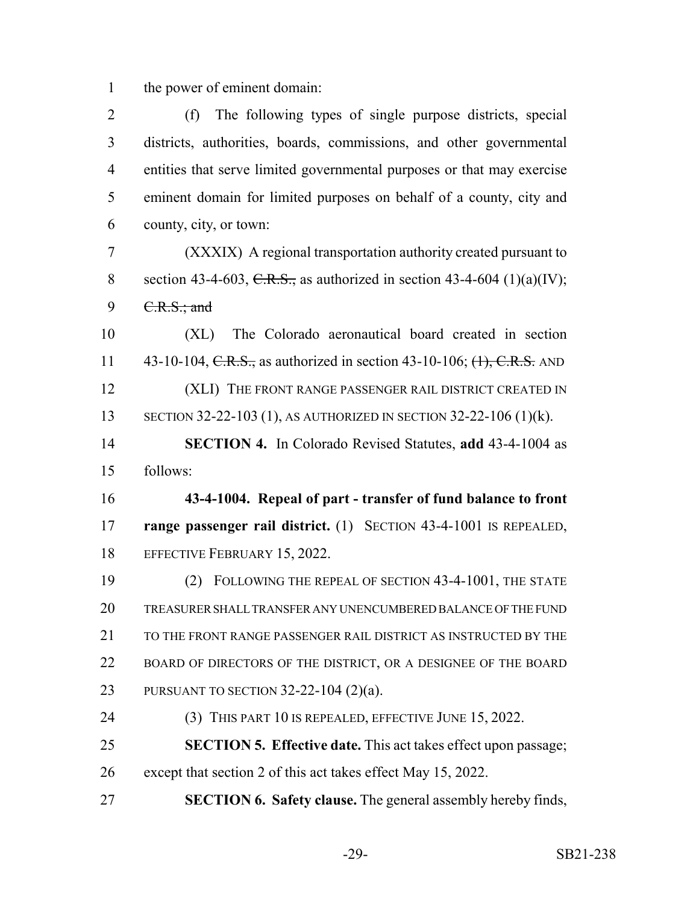the power of eminent domain:

 (f) The following types of single purpose districts, special districts, authorities, boards, commissions, and other governmental entities that serve limited governmental purposes or that may exercise eminent domain for limited purposes on behalf of a county, city and county, city, or town: (XXXIX) A regional transportation authority created pursuant to 8 section 43-4-603, C.R.S., as authorized in section 43-4-604 (1)(a)(IV); 9 <del>C.R.S.; and</del> (XL) The Colorado aeronautical board created in section 11 43-10-104, C.R.S., as authorized in section 43-10-106; (1), C.R.S. AND 12 (XLI) THE FRONT RANGE PASSENGER RAIL DISTRICT CREATED IN SECTION 32-22-103 (1), AS AUTHORIZED IN SECTION 32-22-106 (1)(k). **SECTION 4.** In Colorado Revised Statutes, **add** 43-4-1004 as follows: **43-4-1004. Repeal of part - transfer of fund balance to front range passenger rail district.** (1) SECTION 43-4-1001 IS REPEALED, 18 EFFECTIVE FEBRUARY 15, 2022. (2) FOLLOWING THE REPEAL OF SECTION 43-4-1001, THE STATE TREASURER SHALL TRANSFER ANY UNENCUMBERED BALANCE OF THE FUND 21 TO THE FRONT RANGE PASSENGER RAIL DISTRICT AS INSTRUCTED BY THE BOARD OF DIRECTORS OF THE DISTRICT, OR A DESIGNEE OF THE BOARD PURSUANT TO SECTION 32-22-104 (2)(a). 24 (3) THIS PART 10 IS REPEALED, EFFECTIVE JUNE 15, 2022. **SECTION 5. Effective date.** This act takes effect upon passage; except that section 2 of this act takes effect May 15, 2022. **SECTION 6. Safety clause.** The general assembly hereby finds,